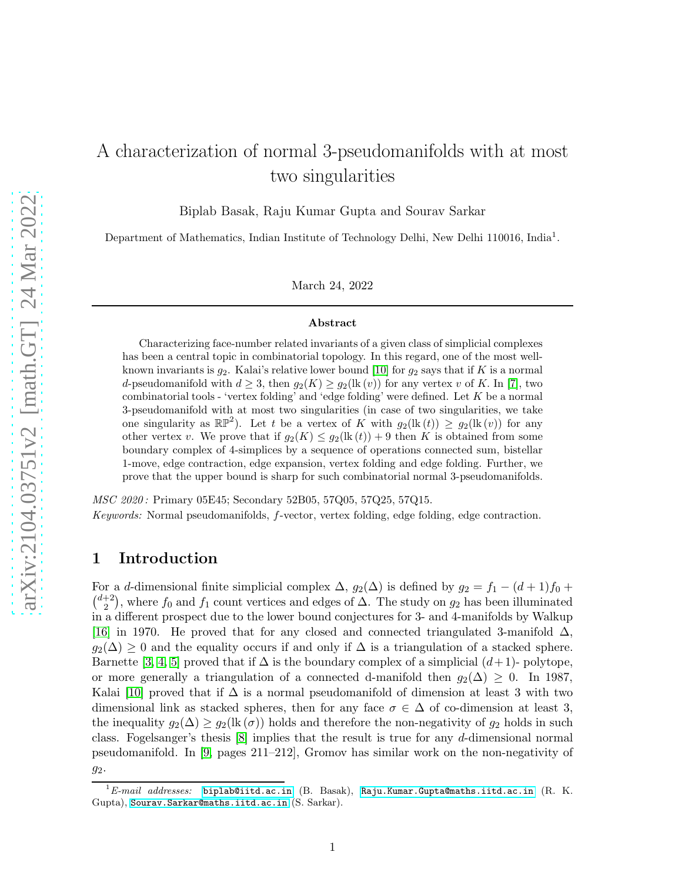# A characterization of normal 3-pseudomanifolds with at most two singularities

Biplab Basak, Raju Kumar Gupta and Sourav Sarkar

Department of Mathematics, Indian Institute of Technology Delhi, New Delhi 110016, India<sup>1</sup>.

March 24, 2022

#### Abstract

Characterizing face-number related invariants of a given class of simplicial complexes has been a central topic in combinatorial topology. In this regard, one of the most wellknown invariants is  $g_2$ . Kalai's relative lower bound [\[10\]](#page-26-0) for  $g_2$  says that if K is a normal d-pseudomanifold with  $d \geq 3$ , then  $g_2(K) \geq g_2(\text{lk}(v))$  for any vertex v of K. In [\[7\]](#page-26-1), two combinatorial tools - 'vertex folding' and 'edge folding' were defined. Let  $K$  be a normal 3-pseudomanifold with at most two singularities (in case of two singularities, we take one singularity as  $\mathbb{RP}^2$ ). Let t be a vertex of K with  $g_2(\text{lk}(t)) \geq g_2(\text{lk}(v))$  for any other vertex v. We prove that if  $g_2(K) \leq g_2(\text{lk}(t)) + 9$  then K is obtained from some boundary complex of 4-simplices by a sequence of operations connected sum, bistellar 1-move, edge contraction, edge expansion, vertex folding and edge folding. Further, we prove that the upper bound is sharp for such combinatorial normal 3-pseudomanifolds.

MSC 2020 : Primary 05E45; Secondary 52B05, 57Q05, 57Q25, 57Q15. Keywords: Normal pseudomanifolds, f-vector, vertex folding, edge folding, edge contraction.

# 1 Introduction

For a d-dimensional finite simplicial complex  $\Delta$ ,  $g_2(\Delta)$  is defined by  $g_2 = f_1 - (d+1)f_0 +$  $\binom{d+2}{2}$  $\binom{+2}{2}$ , where  $f_0$  and  $f_1$  count vertices and edges of  $\Delta$ . The study on  $g_2$  has been illuminated in a different prospect due to the lower bound conjectures for 3- and 4-manifolds by Walkup [\[16\]](#page-26-2) in 1970. He proved that for any closed and connected triangulated 3-manifold  $\Delta$ ,  $g_2(\Delta) \geq 0$  and the equality occurs if and only if  $\Delta$  is a triangulation of a stacked sphere. Barnette [\[3,](#page-25-0) [4,](#page-26-3) [5\]](#page-26-4) proved that if  $\Delta$  is the boundary complex of a simplicial  $(d+1)$ - polytope, or more generally a triangulation of a connected d-manifold then  $g_2(\Delta) \geq 0$ . In 1987, Kalai [\[10\]](#page-26-0) proved that if  $\Delta$  is a normal pseudomanifold of dimension at least 3 with two dimensional link as stacked spheres, then for any face  $\sigma \in \Delta$  of co-dimension at least 3, the inequality  $g_2(\Delta) \geq g_2(\text{lk}(\sigma))$  holds and therefore the non-negativity of  $g_2$  holds in such class. Fogelsanger's thesis [\[8\]](#page-26-5) implies that the result is true for any d-dimensional normal pseudomanifold. In [\[9,](#page-26-6) pages 211–212], Gromov has similar work on the non-negativity of g2.

 ${}^{1}E\text{-}mail$  addresses: <biplab@iitd.ac.in> (B. Basak), <Raju.Kumar.Gupta@maths.iitd.ac.in> (R. K. Gupta), <Sourav.Sarkar@maths.iitd.ac.in> (S. Sarkar).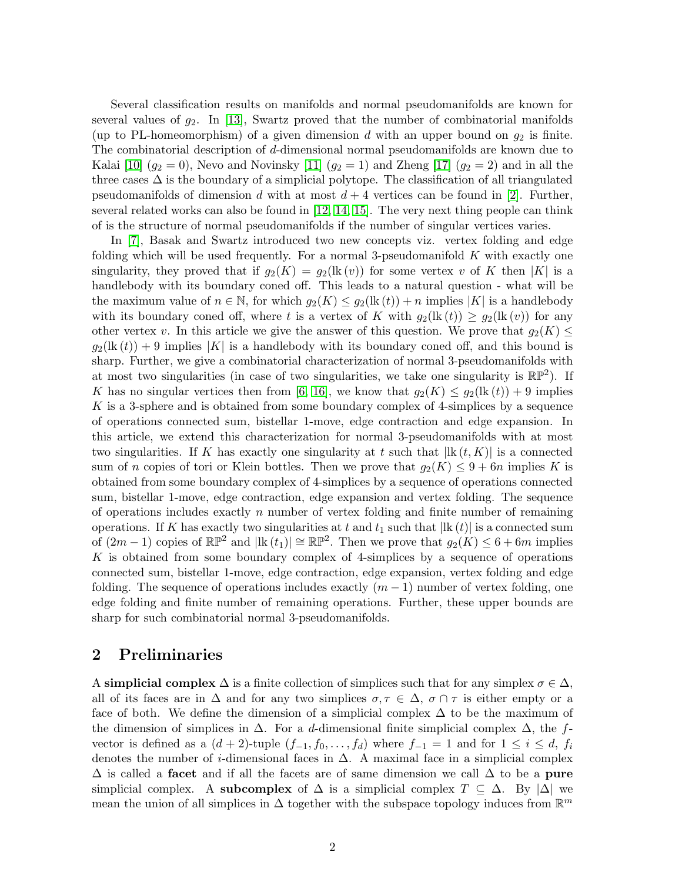Several classification results on manifolds and normal pseudomanifolds are known for several values of  $g_2$ . In [\[13\]](#page-26-7), Swartz proved that the number of combinatorial manifolds (up to PL-homeomorphism) of a given dimension d with an upper bound on  $g_2$  is finite. The combinatorial description of d-dimensional normal pseudomanifolds are known due to Kalai  $[10]$   $(g_2 = 0)$ , Nevo and Novinsky  $[11]$   $(g_2 = 1)$  and Zheng  $[17]$   $(g_2 = 2)$  and in all the three cases  $\Delta$  is the boundary of a simplicial polytope. The classification of all triangulated pseudomanifolds of dimension d with at most  $d + 4$  vertices can be found in [\[2\]](#page-25-1). Further, several related works can also be found in [\[12,](#page-26-10) [14,](#page-26-11) [15\]](#page-26-12). The very next thing people can think of is the structure of normal pseudomanifolds if the number of singular vertices varies.

In [\[7\]](#page-26-1), Basak and Swartz introduced two new concepts viz. vertex folding and edge folding which will be used frequently. For a normal 3-pseudomanifold  $K$  with exactly one singularity, they proved that if  $g_2(K) = g_2(\text{lk}(v))$  for some vertex v of K then |K| is a handlebody with its boundary coned off. This leads to a natural question - what will be the maximum value of  $n \in \mathbb{N}$ , for which  $g_2(K) \leq g_2(\text{lk}(t)) + n$  implies  $|K|$  is a handlebody with its boundary coned off, where t is a vertex of K with  $g_2(\text{lk}(t)) \geq g_2(\text{lk}(v))$  for any other vertex v. In this article we give the answer of this question. We prove that  $g_2(K) \leq$  $g_2(\mathbf{lk}(t)) + 9$  implies |K| is a handlebody with its boundary coned off, and this bound is sharp. Further, we give a combinatorial characterization of normal 3-pseudomanifolds with at most two singularities (in case of two singularities, we take one singularity is  $\mathbb{RP}^2$ ). If K has no singular vertices then from [\[6,](#page-26-13) [16\]](#page-26-2), we know that  $g_2(K) \leq g_2(\text{lk}(t)) + 9$  implies K is a 3-sphere and is obtained from some boundary complex of 4-simplices by a sequence of operations connected sum, bistellar 1-move, edge contraction and edge expansion. In this article, we extend this characterization for normal 3-pseudomanifolds with at most two singularities. If K has exactly one singularity at t such that  $|\text{lk}(t, K)|$  is a connected sum of n copies of tori or Klein bottles. Then we prove that  $g_2(K) \leq 9 + 6n$  implies K is obtained from some boundary complex of 4-simplices by a sequence of operations connected sum, bistellar 1-move, edge contraction, edge expansion and vertex folding. The sequence of operations includes exactly  $n$  number of vertex folding and finite number of remaining operations. If K has exactly two singularities at t and  $t_1$  such that  $|\mathbf{lk}(t)|$  is a connected sum of  $(2m-1)$  copies of  $\mathbb{RP}^2$  and  $|\text{lk}(t_1)| \cong \mathbb{RP}^2$ . Then we prove that  $g_2(K) \leq 6+6m$  implies  $K$  is obtained from some boundary complex of 4-simplices by a sequence of operations connected sum, bistellar 1-move, edge contraction, edge expansion, vertex folding and edge folding. The sequence of operations includes exactly  $(m-1)$  number of vertex folding, one edge folding and finite number of remaining operations. Further, these upper bounds are sharp for such combinatorial normal 3-pseudomanifolds.

## 2 Preliminaries

A simplicial complex  $\Delta$  is a finite collection of simplices such that for any simplex  $\sigma \in \Delta$ , all of its faces are in  $\Delta$  and for any two simplices  $\sigma, \tau \in \Delta$ ,  $\sigma \cap \tau$  is either empty or a face of both. We define the dimension of a simplicial complex  $\Delta$  to be the maximum of the dimension of simplices in  $\Delta$ . For a d-dimensional finite simplicial complex  $\Delta$ , the fvector is defined as a  $(d+2)$ -tuple  $(f_{-1}, f_0, \ldots, f_d)$  where  $f_{-1} = 1$  and for  $1 \leq i \leq d$ ,  $f_i$ denotes the number of *i*-dimensional faces in  $\Delta$ . A maximal face in a simplicial complex  $\Delta$  is called a **facet** and if all the facets are of same dimension we call  $\Delta$  to be a pure simplicial complex. A subcomplex of  $\Delta$  is a simplicial complex  $T \subseteq \Delta$ . By  $|\Delta|$  we mean the union of all simplices in  $\Delta$  together with the subspace topology induces from  $\mathbb{R}^m$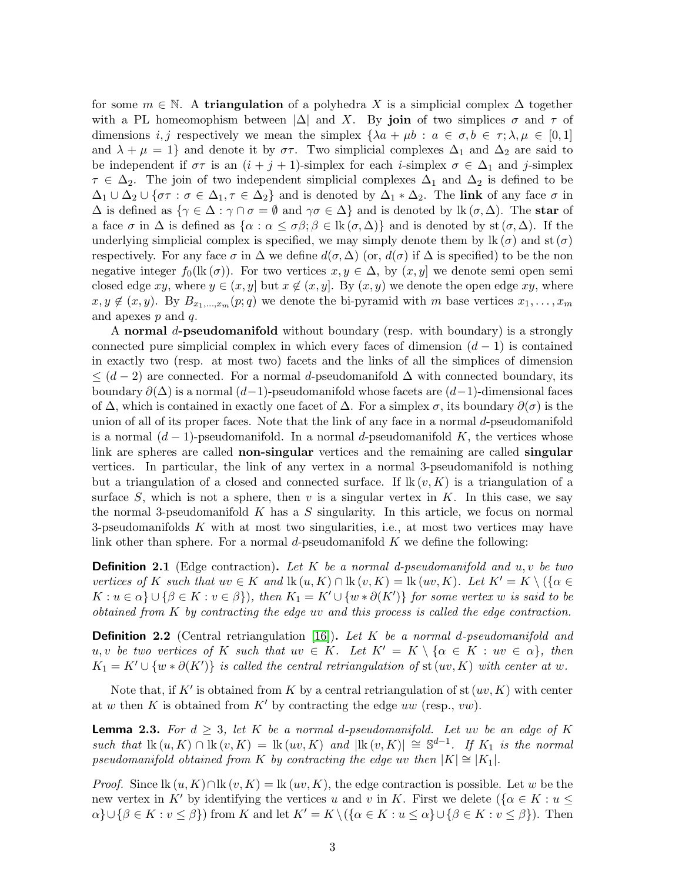for some  $m \in \mathbb{N}$ . A triangulation of a polyhedra X is a simplicial complex  $\Delta$  together with a PL homeomophism between  $|\Delta|$  and X. By join of two simplices  $\sigma$  and  $\tau$  of dimensions i, j respectively we mean the simplex  $\{\lambda a + \mu b : a \in \sigma, b \in \tau; \lambda, \mu \in [0, 1]\}$ and  $\lambda + \mu = 1$  and denote it by  $\sigma\tau$ . Two simplicial complexes  $\Delta_1$  and  $\Delta_2$  are said to be independent if  $\sigma\tau$  is an  $(i + j + 1)$ -simplex for each *i*-simplex  $\sigma \in \Delta_1$  and *j*-simplex  $\tau \in \Delta_2$ . The join of two independent simplicial complexes  $\Delta_1$  and  $\Delta_2$  is defined to be  $\Delta_1 \cup \Delta_2 \cup \{\sigma\tau : \sigma \in \Delta_1, \tau \in \Delta_2\}$  and is denoted by  $\Delta_1 * \Delta_2$ . The link of any face  $\sigma$  in  $\Delta$  is defined as  $\{\gamma \in \Delta : \gamma \cap \sigma = \emptyset \text{ and } \gamma \sigma \in \Delta\}$  and is denoted by  $\operatorname{lk}(\sigma, \Delta)$ . The star of a face  $\sigma$  in  $\Delta$  is defined as  $\{\alpha : \alpha \leq \sigma\beta; \beta \in \text{lk}(\sigma, \Delta)\}\$  and is denoted by st  $(\sigma, \Delta)$ . If the underlying simplicial complex is specified, we may simply denote them by lk  $(\sigma)$  and st  $(\sigma)$ respectively. For any face  $\sigma$  in  $\Delta$  we define  $d(\sigma, \Delta)$  (or,  $d(\sigma)$  if  $\Delta$  is specified) to be the non negative integer  $f_0(\text{lk}(\sigma))$ . For two vertices  $x, y \in \Delta$ , by  $(x, y]$  we denote semi open semi closed edge xy, where  $y \in (x, y]$  but  $x \notin (x, y]$ . By  $(x, y)$  we denote the open edge xy, where  $x, y \notin (x, y)$ . By  $B_{x_1,...,x_m}(p; q)$  we denote the bi-pyramid with m base vertices  $x_1,..., x_m$ and apexes  $p$  and  $q$ .

A normal d-pseudomanifold without boundary (resp. with boundary) is a strongly connected pure simplicial complex in which every faces of dimension  $(d-1)$  is contained in exactly two (resp. at most two) facets and the links of all the simplices of dimension  $\leq$  (d − 2) are connected. For a normal d-pseudomanifold  $\Delta$  with connected boundary, its boundary  $\partial(\Delta)$  is a normal  $(d-1)$ -pseudomanifold whose facets are  $(d-1)$ -dimensional faces of  $\Delta$ , which is contained in exactly one facet of  $\Delta$ . For a simplex  $\sigma$ , its boundary  $\partial(\sigma)$  is the union of all of its proper faces. Note that the link of any face in a normal d-pseudomanifold is a normal  $(d-1)$ -pseudomanifold. In a normal d-pseudomanifold K, the vertices whose link are spheres are called **non-singular** vertices and the remaining are called **singular** vertices. In particular, the link of any vertex in a normal 3-pseudomanifold is nothing but a triangulation of a closed and connected surface. If  $\text{lk}(v, K)$  is a triangulation of a surface S, which is not a sphere, then v is a singular vertex in  $K$ . In this case, we say the normal 3-pseudomanifold  $K$  has a  $S$  singularity. In this article, we focus on normal 3-pseudomanifolds  $K$  with at most two singularities, i.e., at most two vertices may have link other than sphere. For a normal d-pseudomanifold  $K$  we define the following:

<span id="page-2-0"></span>**Definition 2.1** (Edge contraction). Let K be a normal d-pseudomanifold and  $u, v$  be two vertices of K such that  $uv \in K$  and  $\text{lk}(u, K) \cap \text{lk}(v, K) = \text{lk}(uv, K)$ . Let  $K' = K \setminus (\{\alpha \in K\})$  $K: u \in \alpha\} \cup \{\beta \in K: v \in \beta\}$ , then  $K_1 = K' \cup \{w * \partial(K')\}$  for some vertex w is said to be obtained from K by contracting the edge uv and this process is called the edge contraction.

**Definition 2.2** (Central retriangulation [\[16\]](#page-26-2)). Let K be a normal d-pseudomanifold and u, v be two vertices of K such that  $uv \in K$ . Let  $K' = K \setminus {\alpha \in K : uv \in \alpha}$ , then  $K_1 = K' \cup \{w * \partial(K')\}$  is called the central retriangulation of st  $(uv, K)$  with center at w.

Note that, if K' is obtained from K by a central retriangulation of st  $(uv, K)$  with center at w then K is obtained from K' by contracting the edge uw (resp., vw).

<span id="page-2-1"></span>**Lemma 2.3.** For  $d \geq 3$ , let K be a normal d-pseudomanifold. Let uv be an edge of K such that  $\text{lk}(u, K) \cap \text{lk}(v, K) = \text{lk}(uv, K)$  and  $|\text{lk}(v, K)| \cong \mathbb{S}^{d-1}$ . If  $K_1$  is the normal pseudomanifold obtained from K by contracting the edge uv then  $|K| \cong |K_1|$ .

*Proof.* Since  $\text{lk}(u, K) \cap \text{lk}(v, K) = \text{lk}(uv, K)$ , the edge contraction is possible. Let w be the new vertex in K' by identifying the vertices u and v in K. First we delete ( $\{\alpha \in K : u \leq \alpha\}$  $\alpha$ }∪ $\{\beta \in K : v \leq \beta\}$  from K and let  $K' = K \setminus (\{\alpha \in K : u \leq \alpha\} \cup \{\beta \in K : v \leq \beta\})$ . Then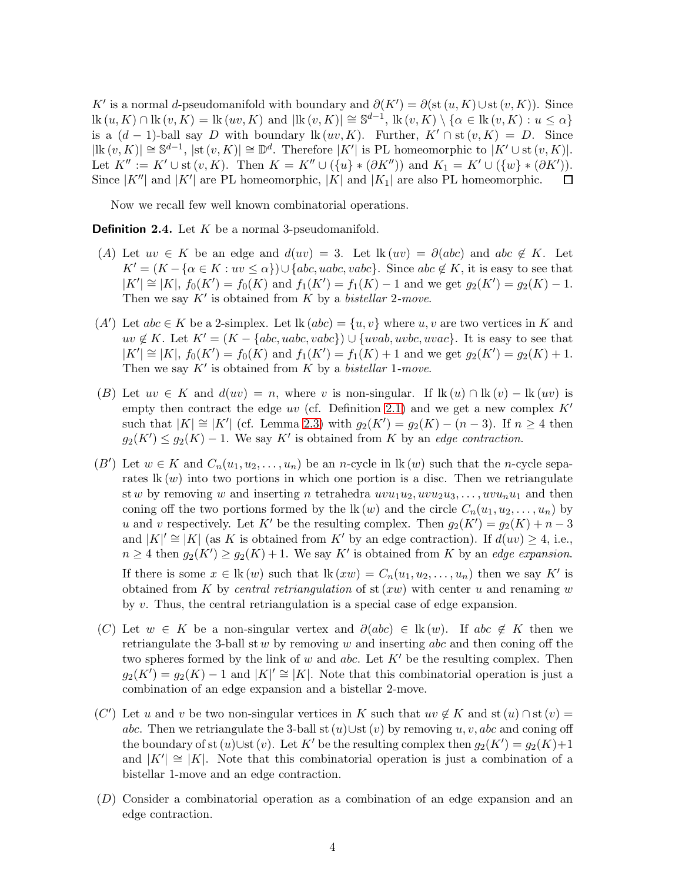K' is a normal d-pseudomanifold with boundary and  $\partial(K') = \partial(\text{st}(u, K) \cup \text{st}(v, K))$ . Since  $\text{lk}(u, K) \cap \text{lk}(v, K) = \text{lk}(uv, K)$  and  $|\text{lk}(v, K)| \cong \mathbb{S}^{d-1}$ ,  $\text{lk}(v, K) \setminus \{\alpha \in \text{lk}(v, K) : u \le \alpha\}$ is a  $(d-1)$ -ball say D with boundary lk  $(uv, K)$ . Further,  $K' \cap$  st  $(v, K) = D$ . Since  $|\text{lk}(v,K)| \cong \mathbb{S}^{d-1}$ ,  $|\text{st}(v,K)| \cong \mathbb{D}^d$ . Therefore  $|K'|$  is PL homeomorphic to  $|K' \cup \text{st}(v,K)|$ . Let  $K'':= K' \cup$  st  $(v, K)$ . Then  $K = K'' \cup (\{u\} * (\partial K''))$  and  $K_1 = K' \cup (\{w\} * (\partial K')).$ Since  $|K''|$  and  $|K'|$  are PL homeomorphic,  $|K|$  and  $|K_1|$  are also PL homeomorphic.  $\Box$ 

Now we recall few well known combinatorial operations.

<span id="page-3-0"></span>**Definition 2.4.** Let  $K$  be a normal 3-pseudomanifold.

- (A) Let  $uv \in K$  be an edge and  $d(uv) = 3$ . Let  $lk(uv) = \partial(abc)$  and  $abc \notin K$ . Let  $K' = (K - {\alpha \in K : uv \leq \alpha}) \cup {abc, uabc, vabc}.$  Since  $abc \notin K$ , it is easy to see that  $|K'| \cong |K|$ ,  $f_0(K') = f_0(K)$  and  $f_1(K') = f_1(K) - 1$  and we get  $g_2(K') = g_2(K) - 1$ . Then we say  $K'$  is obtained from K by a *bistellar* 2-move.
- (A') Let  $abc \in K$  be a 2-simplex. Let  $lk (abc) = \{u, v\}$  where  $u, v$  are two vertices in K and  $uv \notin K$ . Let  $K' = (K - \{abc, uabc, vabc\}) \cup \{uvab, uvbc, uvac\}$ . It is easy to see that  $|K'| \cong |K|$ ,  $f_0(K') = f_0(K)$  and  $f_1(K') = f_1(K) + 1$  and we get  $g_2(K') = g_2(K) + 1$ . Then we say  $K'$  is obtained from  $K$  by a *bistellar* 1-move.
- (B) Let  $uv \in K$  and  $d(uv) = n$ , where v is non-singular. If  $\text{lk}(u) \cap \text{lk}(v) \text{lk}(uv)$  is empty then contract the edge uv (cf. Definition [2.1\)](#page-2-0) and we get a new complex  $K'$ such that  $|K| \cong |K'|$  (cf. Lemma [2.3\)](#page-2-1) with  $g_2(K') = g_2(K) - (n-3)$ . If  $n \geq 4$  then  $g_2(K') \leq g_2(K) - 1$ . We say K' is obtained from K by an edge contraction.
- (B') Let  $w \in K$  and  $C_n(u_1, u_2, \ldots, u_n)$  be an n-cycle in  $lk(w)$  such that the n-cycle separates  $lk(w)$  into two portions in which one portion is a disc. Then we retriangulate st w by removing w and inserting n tetrahedra  $uvw_1u_2, uvu_2u_3, \ldots, uvu_nu_1$  and then coning off the two portions formed by the  $lk(w)$  and the circle  $C_n(u_1, u_2, \ldots, u_n)$  by u and v respectively. Let K' be the resulting complex. Then  $g_2(K') = g_2(K) + n - 3$ and  $|K|' \cong |K|$  (as K is obtained from K' by an edge contraction). If  $d(uv) \geq 4$ , i.e.,  $n \geq 4$  then  $g_2(K') \geq g_2(K) + 1$ . We say K' is obtained from K by an edge expansion. If there is some  $x \in \mathbb{R}(w)$  such that  $\mathbb{R}(xw) = C_n(u_1, u_2, \dots, u_n)$  then we say K' is obtained from K by central retriangulation of  $st(xw)$  with center u and renaming w by v. Thus, the central retriangulation is a special case of edge expansion.
- (C) Let  $w \in K$  be a non-singular vertex and  $\partial(abc) \in \text{lk}(w)$ . If abc  $\notin K$  then we retriangulate the 3-ball st  $w$  by removing  $w$  and inserting abc and then coning off the two spheres formed by the link of w and abc. Let  $K'$  be the resulting complex. Then  $g_2(K)$  =  $g_2(K)$  – 1 and  $|K|' \cong |K|$ . Note that this combinatorial operation is just a combination of an edge expansion and a bistellar 2-move.
- (C') Let u and v be two non-singular vertices in K such that  $uv \notin K$  and st  $(u) \cap$  st  $(v) =$ abc. Then we retriangulate the 3-ball st  $(u)$ ∪st  $(v)$  by removing u, v, abc and coning off the boundary of st  $(u)$ ∪st  $(v)$ . Let K' be the resulting complex then  $g_2(K') = g_2(K) + 1$ and  $|K'| \cong |K|$ . Note that this combinatorial operation is just a combination of a bistellar 1-move and an edge contraction.
- (D) Consider a combinatorial operation as a combination of an edge expansion and an edge contraction.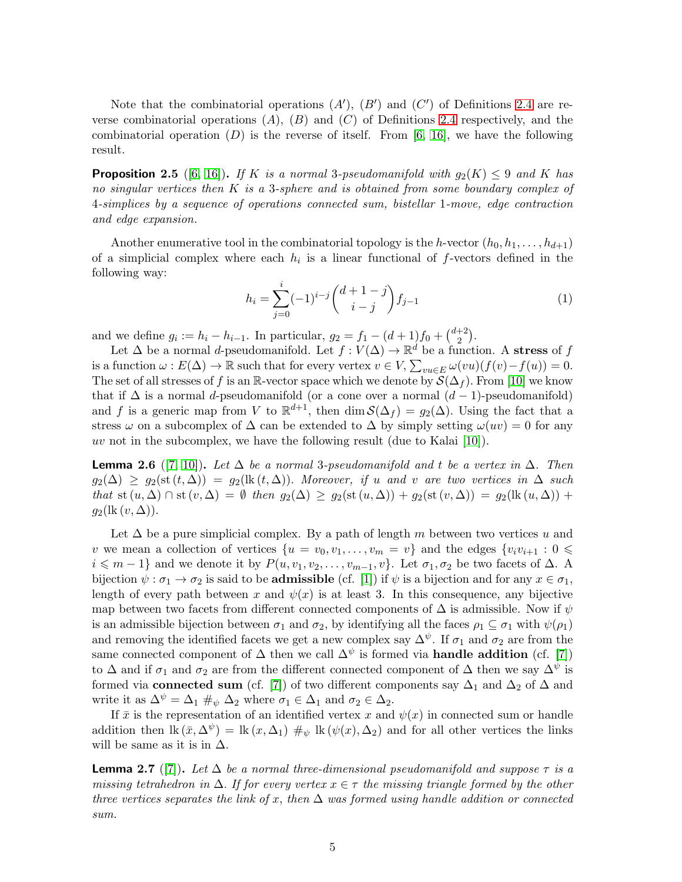Note that the combinatorial operations  $(A')$ ,  $(B')$  and  $(C')$  of Definitions [2.4](#page-3-0) are reverse combinatorial operations  $(A)$ ,  $(B)$  and  $(C)$  of Definitions [2.4](#page-3-0) respectively, and the combinatorial operation  $(D)$  is the reverse of itself. From [\[6,](#page-26-13) [16\]](#page-26-2), we have the following result.

<span id="page-4-2"></span>**Proposition 2.5** ([\[6,](#page-26-13) [16\]](#page-26-2)). If K is a normal 3-pseudomanifold with  $g_2(K) \leq 9$  and K has no singular vertices then  $K$  is a 3-sphere and is obtained from some boundary complex of 4-simplices by a sequence of operations connected sum, bistellar 1-move, edge contraction and edge expansion.

Another enumerative tool in the combinatorial topology is the h-vector  $(h_0, h_1, \ldots, h_{d+1})$ of a simplicial complex where each  $h_i$  is a linear functional of f-vectors defined in the following way:

$$
h_i = \sum_{j=0}^{i} (-1)^{i-j} {d+1-j \choose i-j} f_{j-1}
$$
 (1)

and we define  $g_i := h_i - h_{i-1}$ . In particular,  $g_2 = f_1 - (d+1)f_0 + \binom{d+2}{2}$  $_{2}^{+2}$ .

Let  $\Delta$  be a normal *d*-pseudomanifold. Let  $f: V(\Delta) \to \mathbb{R}^d$  be a function. A stress of f is a function  $\omega : E(\Delta) \to \mathbb{R}$  such that for every vertex  $v \in V$ ,  $\sum_{vu \in E} \omega(vu)(f(v) - f(u)) = 0$ . The set of all stresses of f is an R-vector space which we denote by  $\mathcal{S}(\Delta_f)$ . From [\[10\]](#page-26-0) we know that if  $\Delta$  is a normal d-pseudomanifold (or a cone over a normal  $(d-1)$ -pseudomanifold) and f is a generic map from V to  $\mathbb{R}^{d+1}$ , then  $\dim \mathcal{S}(\Delta_f) = g_2(\Delta)$ . Using the fact that a stress  $\omega$  on a subcomplex of  $\Delta$  can be extended to  $\Delta$  by simply setting  $\omega(uv) = 0$  for any uv not in the subcomplex, we have the following result (due to Kalai  $[10]$ ).

<span id="page-4-1"></span>**Lemma 2.6** ([\[7,](#page-26-1) [10\]](#page-26-0)). Let  $\Delta$  be a normal 3-pseudomanifold and t be a vertex in  $\Delta$ . Then  $g_2(\Delta) \geq g_2(\text{st}(t, \Delta)) = g_2(\text{lk}(t, \Delta)).$  Moreover, if u and v are two vertices in  $\Delta$  such that st  $(u, \Delta) \cap$  st  $(v, \Delta) = \emptyset$  then  $g_2(\Delta) \geq g_2(\text{st}(u, \Delta)) + g_2(\text{st}(v, \Delta)) = g_2(\text{lk}(u, \Delta)) +$  $g_2(\text{lk}(v,\Delta)).$ 

Let  $\Delta$  be a pure simplicial complex. By a path of length m between two vertices u and v we mean a collection of vertices  $\{u = v_0, v_1, \ldots, v_m = v\}$  and the edges  $\{v_i v_{i+1} : 0 \leq$  $i \leq m-1$ } and we denote it by  $P(u, v_1, v_2, \ldots, v_{m-1}, v)$ . Let  $\sigma_1, \sigma_2$  be two facets of  $\Delta$ . A bijection  $\psi : \sigma_1 \to \sigma_2$  is said to be **admissible** (cf. [\[1\]](#page-25-2)) if  $\psi$  is a bijection and for any  $x \in \sigma_1$ , length of every path between x and  $\psi(x)$  is at least 3. In this consequence, any bijective map between two facets from different connected components of  $\Delta$  is admissible. Now if  $\psi$ is an admissible bijection between  $\sigma_1$  and  $\sigma_2$ , by identifying all the faces  $\rho_1 \subseteq \sigma_1$  with  $\psi(\rho_1)$ and removing the identified facets we get a new complex say  $\Delta^{\psi}$ . If  $\sigma_1$  and  $\sigma_2$  are from the same connected component of  $\Delta$  then we call  $\Delta^{\psi}$  is formed via **handle addition** (cf. [\[7\]](#page-26-1)) to  $\Delta$  and if  $\sigma_1$  and  $\sigma_2$  are from the different connected component of  $\Delta$  then we say  $\Delta^{\psi}$  is formed via **connected sum** (cf. [\[7\]](#page-26-1)) of two different components say  $\Delta_1$  and  $\Delta_2$  of  $\Delta$  and write it as  $\Delta^{\psi} = \Delta_1 \#_{\psi} \Delta_2$  where  $\sigma_1 \in \Delta_1$  and  $\sigma_2 \in \Delta_2$ .

If  $\bar{x}$  is the representation of an identified vertex x and  $\psi(x)$  in connected sum or handle addition then  $\text{lk}(\bar{x}, \Delta^{\psi}) = \text{lk}(x, \Delta_1) \#_{\psi} \text{lk}(\psi(x), \Delta_2)$  and for all other vertices the links will be same as it is in  $\Delta$ .

<span id="page-4-0"></span>**Lemma 2.7** ([\[7\]](#page-26-1)). Let  $\Delta$  be a normal three-dimensional pseudomanifold and suppose  $\tau$  is a missing tetrahedron in  $\Delta$ . If for every vertex  $x \in \tau$  the missing triangle formed by the other three vertices separates the link of x, then  $\Delta$  was formed using handle addition or connected sum.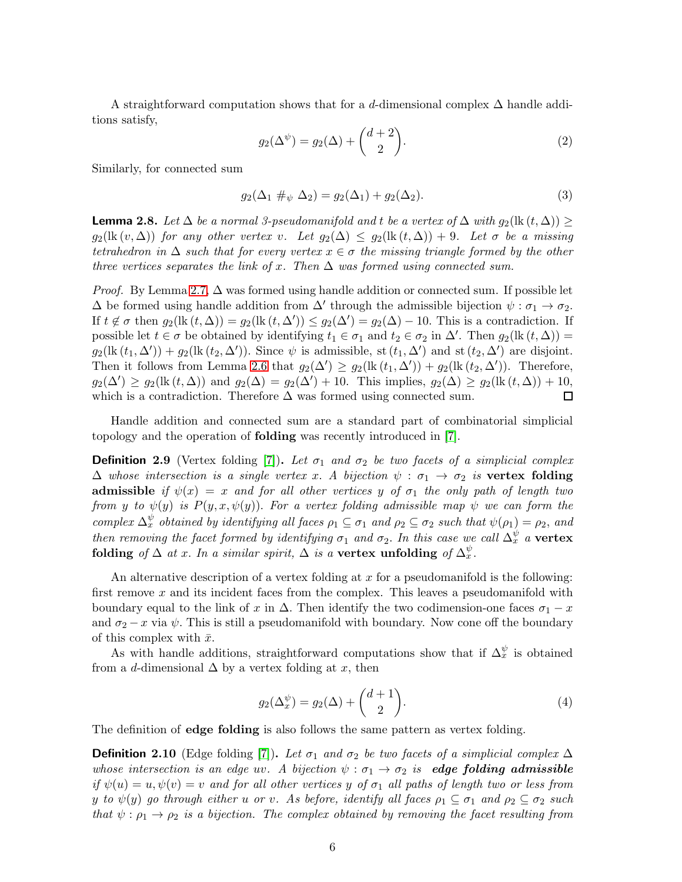A straightforward computation shows that for a d-dimensional complex  $\Delta$  handle additions satisfy,

$$
g_2(\Delta^{\psi}) = g_2(\Delta) + \binom{d+2}{2}.
$$
\n(2)

Similarly, for connected sum

$$
g_2(\Delta_1 \#_{\psi} \Delta_2) = g_2(\Delta_1) + g_2(\Delta_2). \tag{3}
$$

<span id="page-5-0"></span>**Lemma 2.8.** Let  $\Delta$  be a normal 3-pseudomanifold and t be a vertex of  $\Delta$  with  $g_2(\text{lk }(t,\Delta)) \ge$  $g_2(\text{lk}(v,\Delta))$  for any other vertex v. Let  $g_2(\Delta) \leq g_2(\text{lk}(t,\Delta)) + 9$ . Let  $\sigma$  be a missing tetrahedron in  $\Delta$  such that for every vertex  $x \in \sigma$  the missing triangle formed by the other three vertices separates the link of x. Then  $\Delta$  was formed using connected sum.

*Proof.* By Lemma [2.7,](#page-4-0)  $\Delta$  was formed using handle addition or connected sum. If possible let  $\Delta$  be formed using handle addition from  $\Delta'$  through the admissible bijection  $\psi : \sigma_1 \to \sigma_2$ . If  $t \notin \sigma$  then  $g_2(\text{lk}(t,\Delta)) = g_2(\text{lk}(t,\Delta')) \leq g_2(\Delta') = g_2(\Delta) - 10$ . This is a contradiction. If possible let  $t \in \sigma$  be obtained by identifying  $t_1 \in \sigma_1$  and  $t_2 \in \sigma_2$  in  $\Delta'$ . Then  $g_2(\text{lk}(t,\Delta))$  =  $g_2(\text{lk}(t_1,\Delta'))+g_2(\text{lk}(t_2,\Delta'))$ . Since  $\psi$  is admissible, st  $(t_1,\Delta')$  and st  $(t_2,\Delta')$  are disjoint. Then it follows from Lemma [2.6](#page-4-1) that  $g_2(\Delta') \geq g_2(\text{lk}(t_1, \Delta')) + g_2(\text{lk}(t_2, \Delta'))$ . Therefore,  $g_2(\Delta') \ge g_2(\text{lk}(t, \Delta))$  and  $g_2(\Delta) = g_2(\Delta') + 10$ . This implies,  $g_2(\Delta) \ge g_2(\text{lk}(t, \Delta)) + 10$ , which is a contradiction. Therefore  $\Delta$  was formed using connected sum.  $\Box$ 

Handle addition and connected sum are a standard part of combinatorial simplicial topology and the operation of folding was recently introduced in [\[7\]](#page-26-1).

**Definition 2.9** (Vertex folding [\[7\]](#page-26-1)). Let  $\sigma_1$  and  $\sigma_2$  be two facets of a simplicial complex  $\Delta$  whose intersection is a single vertex x. A bijection  $\psi : \sigma_1 \to \sigma_2$  is vertex folding admissible if  $\psi(x) = x$  and for all other vertices y of  $\sigma_1$  the only path of length two from y to  $\psi(y)$  is  $P(y, x, \psi(y))$ . For a vertex folding admissible map  $\psi$  we can form the complex  $\Delta_x^{\psi}$  obtained by identifying all faces  $\rho_1 \subseteq \sigma_1$  and  $\rho_2 \subseteq \sigma_2$  such that  $\psi(\rho_1) = \rho_2$ , and then removing the facet formed by identifying  $\sigma_1$  and  $\sigma_2$ . In this case we call  $\Delta_x^{\psi}$  a vertex folding of  $\Delta$  at x. In a similar spirit,  $\Delta$  is a vertex unfolding of  $\Delta_x^{\psi}$ .

An alternative description of a vertex folding at  $x$  for a pseudomanifold is the following: first remove  $x$  and its incident faces from the complex. This leaves a pseudomanifold with boundary equal to the link of x in  $\Delta$ . Then identify the two codimension-one faces  $\sigma_1 - x$ and  $\sigma_2 - x$  via  $\psi$ . This is still a pseudomanifold with boundary. Now cone off the boundary of this complex with  $\bar{x}$ .

As with handle additions, straightforward computations show that if  $\Delta_x^{\psi}$  is obtained from a d-dimensional  $\Delta$  by a vertex folding at x, then

$$
g_2(\Delta_x^{\psi}) = g_2(\Delta) + \binom{d+1}{2}.
$$
\n<sup>(4)</sup>

The definition of edge folding is also follows the same pattern as vertex folding.

**Definition 2.10** (Edge folding [\[7\]](#page-26-1)). Let  $\sigma_1$  and  $\sigma_2$  be two facets of a simplicial complex  $\Delta$ whose intersection is an edge uv. A bijection  $\psi : \sigma_1 \to \sigma_2$  is **edge folding admissible** if  $\psi(u) = u, \psi(v) = v$  and for all other vertices y of  $\sigma_1$  all paths of length two or less from y to  $\psi(y)$  go through either u or v. As before, identify all faces  $\rho_1 \subseteq \sigma_1$  and  $\rho_2 \subseteq \sigma_2$  such that  $\psi : \rho_1 \to \rho_2$  is a bijection. The complex obtained by removing the facet resulting from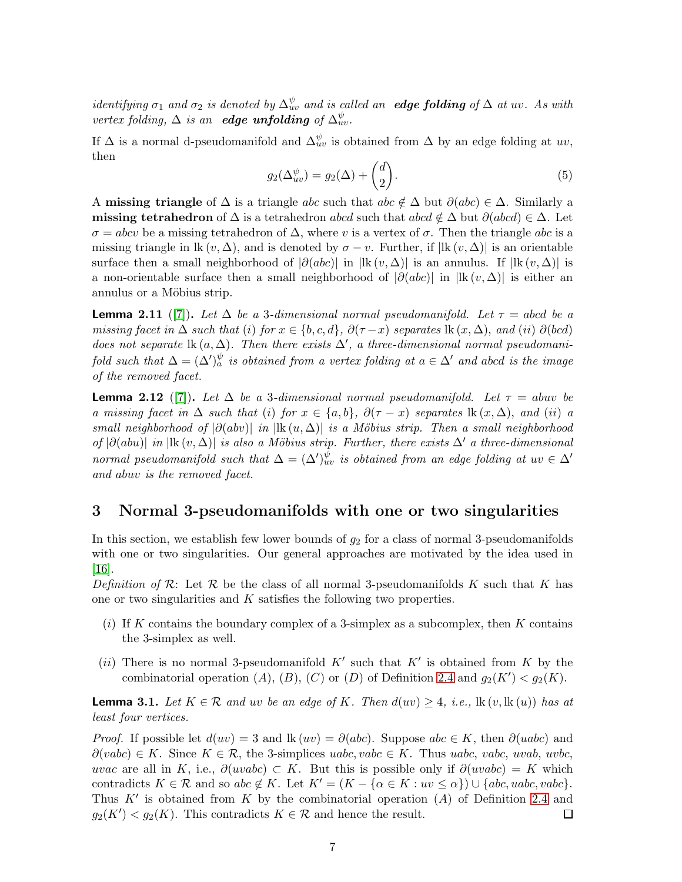identifying  $\sigma_1$  and  $\sigma_2$  is denoted by  $\Delta_w^{\psi}$  and is called an **edge folding** of  $\Delta$  at uv. As with vertex folding,  $\Delta$  is an **edge unfolding** of  $\Delta_{uv}^{\psi}$ .

If  $\Delta$  is a normal d-pseudomanifold and  $\Delta_{uv}^{\psi}$  is obtained from  $\Delta$  by an edge folding at  $uv$ , then

$$
g_2(\Delta_{uv}^{\psi}) = g_2(\Delta) + \binom{d}{2}.
$$
\n<sup>(5)</sup>

A missing triangle of  $\Delta$  is a triangle abc such that abc  $\notin \Delta$  but  $\partial(abc) \in \Delta$ . Similarly a missing tetrahedron of  $\Delta$  is a tetrahedron abcd such that abcd  $\notin \Delta$  but  $\partial (abcd) \in \Delta$ . Let  $\sigma = abcv$  be a missing tetrahedron of  $\Delta$ , where v is a vertex of  $\sigma$ . Then the triangle abc is a missing triangle in lk  $(v, \Delta)$ , and is denoted by  $\sigma - v$ . Further, if  $|\text{lk}(v, \Delta)|$  is an orientable surface then a small neighborhood of  $|\partial(abc)|$  in  $|lk (v, \Delta)|$  is an annulus. If  $|lk (v, \Delta)|$  is a non-orientable surface then a small neighborhood of  $|\partial(abc)|$  in  $|{\rm lk}(v, \Delta)|$  is either an annulus or a Möbius strip.

<span id="page-6-1"></span>**Lemma 2.11** ([\[7\]](#page-26-1)). Let  $\Delta$  be a 3-dimensional normal pseudomanifold. Let  $\tau =$  abcd be a missing facet in  $\Delta$  such that (i) for  $x \in \{b, c, d\}$ ,  $\partial(\tau - x)$  separates  $\text{lk}(x, \Delta)$ , and (ii)  $\partial(bcd)$ does not separate  $\text{lk}(a,\Delta)$ . Then there exists  $\Delta'$ , a three-dimensional normal pseudomanifold such that  $\Delta = (\Delta')_a^{\psi}$  is obtained from a vertex folding at  $a \in \Delta'$  and abcd is the image of the removed facet.

<span id="page-6-2"></span>**Lemma 2.12** ([\[7\]](#page-26-1)). Let  $\Delta$  be a 3-dimensional normal pseudomanifold. Let  $\tau = abuv$  be a missing facet in  $\Delta$  such that (i) for  $x \in \{a, b\}$ ,  $\partial(\tau - x)$  separates  $\operatorname{lk}(x, \Delta)$ , and (ii) a small neighborhood of  $|\partial(abv)|$  in  $|\text{lk}(u,\Delta)|$  is a Möbius strip. Then a small neighborhood of  $|\partial(abu)|$  in  $|{\rm lk}(v, \Delta)|$  is also a Möbius strip. Further, there exists  $\Delta'$  a three-dimensional normal pseudomanifold such that  $\Delta = (\Delta')_{uv}^{\psi}$  is obtained from an edge folding at  $uv \in \Delta'$ and abuv is the removed facet.

#### 3 Normal 3-pseudomanifolds with one or two singularities

In this section, we establish few lower bounds of  $g_2$  for a class of normal 3-pseudomanifolds with one or two singularities. Our general approaches are motivated by the idea used in [\[16\]](#page-26-2).

Definition of R: Let R be the class of all normal 3-pseudomanifolds K such that K has one or two singularities and K satisfies the following two properties.

- (i) If K contains the boundary complex of a 3-simplex as a subcomplex, then K contains the 3-simplex as well.
- (ii) There is no normal 3-pseudomanifold  $K'$  such that  $K'$  is obtained from K by the combinatorial operation  $(A)$ ,  $(B)$ ,  $(C)$  or  $(D)$  of Definition [2.4](#page-3-0) and  $g_2(K') < g_2(K)$ .

<span id="page-6-0"></span>**Lemma 3.1.** Let  $K \in \mathcal{R}$  and uv be an edge of K. Then  $d(uv) \geq 4$ , i.e.,  $\text{lk}(v, \text{lk}(u))$  has at least four vertices.

*Proof.* If possible let  $d(uv) = 3$  and  $lk(uv) = \partial(abc)$ . Suppose abc ∈ K, then  $\partial(udbc)$  and  $\partial(vabc) \in K$ . Since  $K \in \mathcal{R}$ , the 3-simplices uabc, vabc  $\in K$ . Thus uabc, vabc, uvab, uvbc, uvac are all in K, i.e.,  $\partial(uvabc) \subset K$ . But this is possible only if  $\partial(uvabc) = K$  which contradicts  $K \in \mathcal{R}$  and so abc  $\notin K$ . Let  $K' = (K - {\alpha \in K : uv \leq \alpha} ) \cup {\alpha b c, \textit{uabc}, \textit{vabc}}$ . Thus  $K'$  is obtained from K by the combinatorial operation  $(A)$  of Definition [2.4](#page-3-0) and  $g_2(K') < g_2(K)$ . This contradicts  $K \in \mathcal{R}$  and hence the result.  $\Box$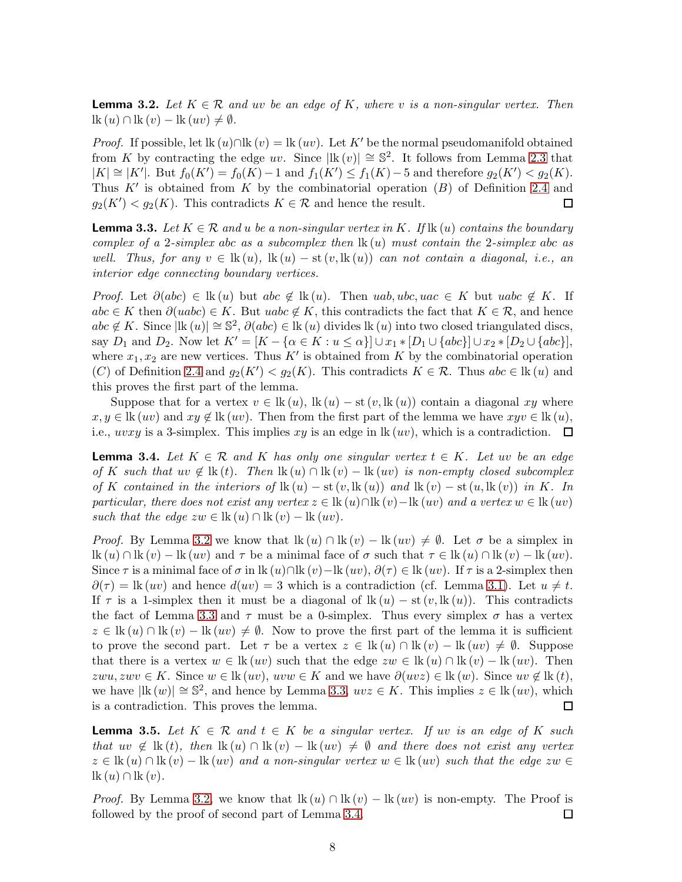<span id="page-7-0"></span>**Lemma 3.2.** Let  $K \in \mathcal{R}$  and uv be an edge of K, where v is a non-singular vertex. Then  $\text{lk}(u) \cap \text{lk}(v) - \text{lk}(uv) \neq \emptyset.$ 

*Proof.* If possible, let lk  $(u) \cap$ lk  $(v) =$ lk  $(uv)$ . Let K' be the normal pseudomanifold obtained from K by contracting the edge uv. Since  $|\mathbf{k}(v)| \approx \mathbb{S}^2$ . It follows from Lemma [2.3](#page-2-1) that  $|K| \cong |K'|$ . But  $f_0(K') = f_0(K) - 1$  and  $f_1(K') \leq f_1(K) - 5$  and therefore  $g_2(K') < g_2(K)$ . Thus  $K'$  is obtained from K by the combinatorial operation  $(B)$  of Definition [2.4](#page-3-0) and  $g_2(K') < g_2(K)$ . This contradicts  $K \in \mathcal{R}$  and hence the result.  $\Box$ 

<span id="page-7-1"></span>**Lemma 3.3.** Let  $K \in \mathcal{R}$  and u be a non-singular vertex in K. If  $\text{lk}(u)$  contains the boundary complex of a 2-simplex abc as a subcomplex then  $\text{lk}(u)$  must contain the 2-simplex abc as well. Thus, for any  $v \in \text{lk}(u)$ ,  $\text{lk}(u) - \text{st}(v, \text{lk}(u))$  can not contain a diagonal, i.e., an interior edge connecting boundary vertices.

*Proof.* Let  $\partial(abc) \in \text{lk}(u)$  but abc  $\notin \text{lk}(u)$ . Then uab, ubc, uac  $\in K$  but uabc  $\notin K$ . If  $abc \in K$  then  $\partial (uabc) \in K$ . But  $uabc \notin K$ , this contradicts the fact that  $K \in \mathcal{R}$ , and hence  $abc \notin K$ . Since  $|\mathbf{lk}(u)| \cong \mathbb{S}^2$ ,  $\partial(abc) \in \mathbf{lk}(u)$  divides  $\mathbf{lk}(u)$  into two closed triangulated discs, say  $D_1$  and  $D_2$ . Now let  $K' = [K - {\alpha \in K : u \leq \alpha}] \cup x_1 * [D_1 \cup {\alpha b c}] \cup x_2 * [D_2 \cup {\alpha b c}]$ , where  $x_1, x_2$  are new vertices. Thus K' is obtained from K by the combinatorial operation (C) of Definition [2.4](#page-3-0) and  $g_2(K') < g_2(K)$ . This contradicts  $K \in \mathcal{R}$ . Thus  $abc \in \mathcal{R}(u)$  and this proves the first part of the lemma.

Suppose that for a vertex  $v \in \text{lk}(u)$ ,  $\text{lk}(u) - \text{st}(v, \text{lk}(u))$  contain a diagonal xy where  $x, y \in \text{lk}(uv)$  and  $xy \notin \text{lk}(uv)$ . Then from the first part of the lemma we have  $xyv \in \text{lk}(u)$ , i.e.,  $uvxy$  is a 3-simplex. This implies  $xy$  is an edge in  $lk (uv)$ , which is a contradiction.  $\Box$ 

<span id="page-7-2"></span>**Lemma 3.4.** Let  $K \in \mathcal{R}$  and K has only one singular vertex  $t \in K$ . Let uv be an edge of K such that  $uv \notin \mathbb{k}$  (t). Then  $\mathbb{k}(u) \cap \mathbb{k}(v) - \mathbb{k}(uv)$  is non-empty closed subcomplex of K contained in the interiors of  $\text{lk}(u) - \text{st}(v, \text{lk}(u))$  and  $\text{lk}(v) - \text{st}(u, \text{lk}(v))$  in K. In particular, there does not exist any vertex  $z \in \text{lk}(u) \cap \text{lk}(v) - \text{lk}(uv)$  and a vertex  $w \in \text{lk}(uv)$ such that the edge  $zw \in \text{lk}(u) \cap \text{lk}(v) - \text{lk}(uv)$ .

*Proof.* By Lemma [3.2](#page-7-0) we know that  $\text{lk}(u) \cap \text{lk}(v) - \text{lk}(uv) \neq \emptyset$ . Let  $\sigma$  be a simplex in  $\text{lk}(u) \cap \text{lk}(v) - \text{lk}(uv)$  and  $\tau$  be a minimal face of  $\sigma$  such that  $\tau \in \text{lk}(u) \cap \text{lk}(v) - \text{lk}(uv)$ . Since  $\tau$  is a minimal face of  $\sigma$  in lk  $(u) \cap$ lk  $(v)$ −lk  $(uv)$ ,  $\partial(\tau) \in$ lk  $(uv)$ . If  $\tau$  is a 2-simplex then  $\partial(\tau) = \text{lk}(uv)$  and hence  $d(uv) = 3$  which is a contradiction (cf. Lemma [3.1\)](#page-6-0). Let  $u \neq t$ . If  $\tau$  is a 1-simplex then it must be a diagonal of  $lk (u) - st (v, lk (u))$ . This contradicts the fact of Lemma [3.3](#page-7-1) and  $\tau$  must be a 0-simplex. Thus every simplex  $\sigma$  has a vertex  $z \in \text{lk}(u) \cap \text{lk}(v) - \text{lk}(uv) \neq \emptyset$ . Now to prove the first part of the lemma it is sufficient to prove the second part. Let  $\tau$  be a vertex  $z \in \text{lk}(u) \cap \text{lk}(v) - \text{lk}(uv) \neq \emptyset$ . Suppose that there is a vertex  $w \in \mathbb{k} (uv)$  such that the edge  $zw \in \mathbb{k} (u) \cap \mathbb{k} (v) - \mathbb{k} (uv)$ . Then zwu, zwv ∈ K. Since  $w \in \mathbb{R}$  (uv), uvw ∈ K and we have  $\partial(uvz) \in \mathbb{R}$  (w). Since uv ∉  $\mathbb{R}$  (t), we have  $|\mathbf{lk}(w)| \cong \mathbb{S}^2$ , and hence by Lemma [3.3,](#page-7-1)  $uvz \in K$ . This implies  $z \in \mathbf{lk}(uv)$ , which is a contradiction. This proves the lemma.  $\Box$ 

<span id="page-7-3"></span>**Lemma 3.5.** Let  $K \in \mathcal{R}$  and  $t \in K$  be a singular vertex. If uv is an edge of K such that uv  $\notin$  lk (t), then lk (u) ∩ lk (v) – lk (uv)  $\not=$  Ø and there does not exist any vertex  $z \in \text{lk}(u) \cap \text{lk}(v) - \text{lk}(uv)$  and a non-singular vertex  $w \in \text{lk}(uv)$  such that the edge  $zw \in$  $lk(u) \cap lk(v)$ .

*Proof.* By Lemma [3.2,](#page-7-0) we know that  $lk(u) \cap lk(v) - lk(uv)$  is non-empty. The Proof is followed by the proof of second part of Lemma [3.4.](#page-7-2)  $\Box$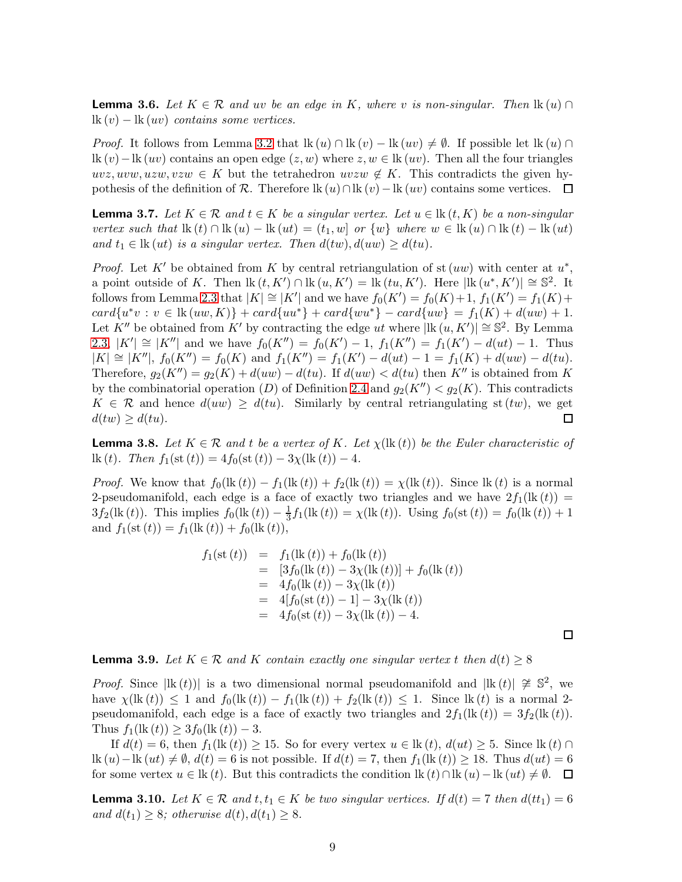<span id="page-8-2"></span>**Lemma 3.6.** Let  $K \in \mathcal{R}$  and uv be an edge in K, where v is non-singular. Then  $\text{lk}(u) \cap$  $\mathop{lk}(v)$  –  $\mathop{lk}(uv)$  contains some vertices.

*Proof.* It follows from Lemma [3.2](#page-7-0) that  $lk(u) \cap lk(v) - lk(uv) \neq \emptyset$ . If possible let  $lk(u) \cap$ lk  $(v)$  – lk  $(uv)$  contains an open edge  $(z, w)$  where  $z, w \in \mathbb{k}$   $(uv)$ . Then all the four triangles  $uvz, uvw, uzw, vzw \in K$  but the tetrahedron  $uvzw \notin K$ . This contradicts the given hypothesis of the definition of R. Therefore lk  $(u) \cap$ lk  $(v)$  – lk  $(uv)$  contains some vertices.  $\Box$ 

<span id="page-8-1"></span>**Lemma 3.7.** Let  $K \in \mathcal{R}$  and  $t \in K$  be a singular vertex. Let  $u \in \text{lk}(t, K)$  be a non-singular vertex such that  $\text{lk}(t) \cap \text{lk}(u) - \text{lk}(ut) = (t_1, w)$  or  $\{w\}$  where  $w \in \text{lk}(u) \cap \text{lk}(t) - \text{lk}(ut)$ and  $t_1 \in \text{lk}(ut)$  is a singular vertex. Then  $d(tw), d(uw) \geq d(tu)$ .

*Proof.* Let K' be obtained from K by central retriangulation of st  $(uw)$  with center at  $u^*$ , a point outside of K. Then  $\text{lk}(t, K') \cap \text{lk}(u, K') = \text{lk}(tu, K')$ . Here  $|\text{lk}(u^*, K')| \approx \mathbb{S}^2$ . It follows from Lemma [2.3](#page-2-1) that  $|K| \cong |K'|$  and we have  $f_0(K') = f_0(K) + 1$ ,  $f_1(K') = f_1(K) + 1$  $card{u^*v : v \in \text{lk}(uw, K)} + card{uu^*} + card{wu^*} - card{uw} = f_1(K) + d(uw) + 1.$ Let  $K''$  be obtained from  $K'$  by contracting the edge ut where  $|\text{lk } (u, K')| \cong \mathbb{S}^2$ . By Lemma [2.3,](#page-2-1)  $|K'| \cong |K''|$  and we have  $f_0(K'') = f_0(K') - 1$ ,  $f_1(K'') = f_1(K') - d(ut) - 1$ . Thus  $|K| \cong |K''|$ ,  $f_0(K'') = f_0(K)$  and  $f_1(K'') = f_1(K') - d(ut) - 1 = f_1(K) + d(uw) - d(tu)$ . Therefore,  $g_2(K'') = g_2(K) + d(uw) - d(tu)$ . If  $d(uw) < d(tu)$  then K'' is obtained from K by the combinatorial operation (D) of Definition [2.4](#page-3-0) and  $g_2(K'') < g_2(K)$ . This contradicts  $K \in \mathcal{R}$  and hence  $d(uw) \geq d(tu)$ . Similarly by central retriangulating st  $(tw)$ , we get  $d(tw) \geq d(tu)$ .  $\Box$ 

<span id="page-8-4"></span>**Lemma 3.8.** Let  $K \in \mathcal{R}$  and t be a vertex of K. Let  $\chi(\mathbf{lk}(t))$  be the Euler characteristic of lk (t). Then  $f_1(\text{st}(t)) = 4f_0(\text{st}(t)) - 3\chi(\text{lk}(t)) - 4.$ 

*Proof.* We know that  $f_0(\text{lk}(t)) - f_1(\text{lk}(t)) + f_2(\text{lk}(t)) = \chi(\text{lk}(t))$ . Since  $\text{lk}(t)$  is a normal 2-pseudomanifold, each edge is a face of exactly two triangles and we have  $2f_1(\text{lk}(t)) =$  $3f_2(\text{lk}(t))$ . This implies  $f_0(\text{lk}(t)) - \frac{1}{3}$  $\frac{1}{3}f_1(\text{lk }(t)) = \chi(\text{lk }(t)).$  Using  $f_0(\text{st }(t)) = f_0(\text{lk }(t)) + 1$ and  $f_1(\text{st}(t)) = f_1(\text{lk}(t)) + f_0(\text{lk}(t)),$ 

$$
f_1(\text{st } (t)) = f_1(\text{lk } (t)) + f_0(\text{lk } (t))
$$
  
\n
$$
= [3f_0(\text{lk } (t)) - 3\chi(\text{lk } (t))] + f_0(\text{lk } (t))
$$
  
\n
$$
= 4f_0(\text{lk } (t)) - 3\chi(\text{lk } (t))
$$
  
\n
$$
= 4[f_0(\text{st } (t)) - 1] - 3\chi(\text{lk } (t))
$$
  
\n
$$
= 4f_0(\text{st } (t)) - 3\chi(\text{lk } (t)) - 4.
$$

 $\Box$ 

<span id="page-8-0"></span>**Lemma 3.9.** Let  $K \in \mathcal{R}$  and K contain exactly one singular vertex t then  $d(t) \geq 8$ 

*Proof.* Since  $|\mathbf{lk}(t)|$  is a two dimensional normal pseudomanifold and  $|\mathbf{lk}(t)| \ncong \mathbb{S}^2$ , we have  $\chi(\text{lk}(t)) \leq 1$  and  $f_0(\text{lk}(t)) - f_1(\text{lk}(t)) + f_2(\text{lk}(t)) \leq 1$ . Since  $\text{lk}(t)$  is a normal 2pseudomanifold, each edge is a face of exactly two triangles and  $2f_1(\text{lk}(t)) = 3f_2(\text{lk}(t)).$ Thus  $f_1(\text{lk}(t)) \geq 3f_0(\text{lk}(t)) - 3.$ 

If  $d(t) = 6$ , then  $f_1(\text{lk}(t)) \geq 15$ . So for every vertex  $u \in \text{lk}(t)$ ,  $d(ut) \geq 5$ . Since  $\text{lk}(t) \cap$ lk  $(u)$  – lk  $(ut) \neq \emptyset$ ,  $d(t) = 6$  is not possible. If  $d(t) = 7$ , then  $f_1(\text{lk}(t)) \geq 18$ . Thus  $d(ut) = 6$ for some vertex  $u \in \text{lk}(t)$ . But this contradicts the condition  $\text{lk}(t) \cap \text{lk}(u) - \text{lk}(ut) \neq \emptyset$ .  $\Box$ 

<span id="page-8-3"></span>**Lemma 3.10.** Let  $K \in \mathcal{R}$  and  $t, t_1 \in K$  be two singular vertices. If  $d(t) = 7$  then  $d(t_1) = 6$ and  $d(t_1) \geq 8$ ; otherwise  $d(t)$ ,  $d(t_1) \geq 8$ .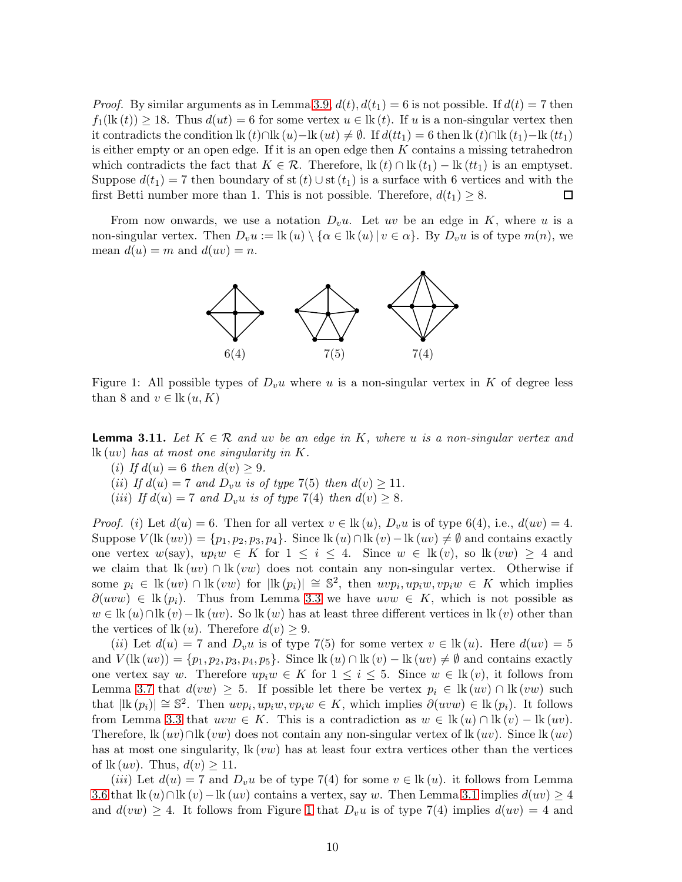*Proof.* By similar arguments as in Lemma [3.9,](#page-8-0)  $d(t)$ ,  $d(t_1) = 6$  is not possible. If  $d(t) = 7$  then  $f_1(\text{lk}(t)) \geq 18$ . Thus  $d(ut) = 6$  for some vertex  $u \in \text{lk}(t)$ . If u is a non-singular vertex then it contradicts the condition lk  $(t) \cap$ lk  $(u)$ −lk  $(ut) \neq \emptyset$ . If  $d(tt_1) = 6$  then lk  $(t) \cap$ lk  $(t_1)$ −lk  $(tt_1)$ is either empty or an open edge. If it is an open edge then  $K$  contains a missing tetrahedron which contradicts the fact that  $K \in \mathcal{R}$ . Therefore,  $\text{lk}(t) \cap \text{lk}(t_1) - \text{lk}(t_1)$  is an emptyset. Suppose  $d(t_1) = 7$  then boundary of st  $(t) \cup$  st  $(t_1)$  is a surface with 6 vertices and with the first Betti number more than 1. This is not possible. Therefore,  $d(t_1) \geq 8$ .  $\Box$ 

<span id="page-9-0"></span>From now onwards, we use a notation  $D_vu$ . Let uv be an edge in K, where u is a non-singular vertex. Then  $D_v u := \text{lk}(u) \setminus \{ \alpha \in \text{lk}(u) | v \in \alpha \}$ . By  $D_v u$  is of type  $m(n)$ , we mean  $d(u) = m$  and  $d(uv) = n$ .



Figure 1: All possible types of  $D_v u$  where u is a non-singular vertex in K of degree less than 8 and  $v \in \text{lk}(u, K)$ 

<span id="page-9-1"></span>**Lemma 3.11.** Let  $K \in \mathcal{R}$  and uv be an edge in K, where u is a non-singular vertex and  $lk (uv)$  has at most one singularity in K.

- (i) If  $d(u) = 6$  then  $d(v) \geq 9$ .
- (ii) If  $d(u) = 7$  and  $D_v u$  is of type 7(5) then  $d(v) \ge 11$ .
- (iii) If  $d(u) = 7$  and  $D_v u$  is of type  $7(4)$  then  $d(v) \geq 8$ .

*Proof.* (i) Let  $d(u) = 6$ . Then for all vertex  $v \in \text{lk}(u)$ ,  $D_v u$  is of type 6(4), i.e.,  $d(uv) = 4$ . Suppose  $V$ (lk  $(uv)$ ) = { $p_1, p_2, p_3, p_4$ }. Since lk  $(u) \cap$ lk  $(v)$  – lk  $(uv) \neq \emptyset$  and contains exactly one vertex  $w(say)$ ,  $up_i w \in K$  for  $1 \leq i \leq 4$ . Since  $w \in \text{lk}(v)$ , so  $\text{lk}(vw) \geq 4$  and we claim that  $lk(w) \cap lk(ww)$  does not contain any non-singular vertex. Otherwise if some  $p_i \in \text{lk}(uv) \cap \text{lk}(vw)$  for  $|\text{lk}(p_i)| \cong \mathbb{S}^2$ , then  $uvp_i, up_iw, vp_iw \in K$  which implies  $\partial(uvw) \in \mathbb{R}(p_i)$ . Thus from Lemma [3](#page-7-1).3 we have  $uvw \in K$ , which is not possible as  $w \in \text{lk}(u) \cap \text{lk}(v) - \text{lk}(uv)$ . So  $\text{lk}(w)$  has at least three different vertices in  $\text{lk}(v)$  other than the vertices of  $lk(u)$ . Therefore  $d(v) \geq 9$ .

(ii) Let  $d(u) = 7$  and  $D_v u$  is of type 7(5) for some vertex  $v \in \text{lk}(u)$ . Here  $d(uv) = 5$ and  $V$ (lk  $(uv)$ ) = { $p_1, p_2, p_3, p_4, p_5$ }. Since lk  $(u) \cap$ lk  $(v)$  – lk  $(uv) \neq \emptyset$  and contains exactly one vertex say w. Therefore  $up_i w \in K$  for  $1 \leq i \leq 5$ . Since  $w \in \text{lk}(v)$ , it follows from Lemma [3.7](#page-8-1) that  $d(vw) \geq 5$ . If possible let there be vertex  $p_i \in \text{lk}(uv) \cap \text{lk}(vw)$  such that  $|\mathbf{lk}(p_i)| \cong \mathbb{S}^2$ . Then  $uvp_i, up_iw, vp_iw \in K$ , which implies  $\partial(uvw) \in \mathbf{lk}(p_i)$ . It follows from Lemma [3.3](#page-7-1) that  $uvw \in K$ . This is a contradiction as  $w \in \text{lk}(u) \cap \text{lk}(v) - \text{lk}(uv)$ . Therefore, lk  $(uv)$ ∩lk  $(vw)$  does not contain any non-singular vertex of lk  $(uv)$ . Since lk  $(uv)$ has at most one singularity,  $\text{lk}(vw)$  has at least four extra vertices other than the vertices of  $lk (uv)$ . Thus,  $d(v) \geq 11$ .

(*iii*) Let  $d(u) = 7$  and  $D_{v}u$  be of type 7(4) for some  $v \in \text{lk}(u)$ , it follows from Lemma [3.6](#page-8-2) that lk  $(u) \cap$ lk  $(v)$  – lk  $(uv)$  contains a vertex, say w. Then Lemma [3.1](#page-6-0) implies  $d(uv) \geq 4$ and  $d(vw) \geq 4$ . It follows from Figure [1](#page-9-0) that  $D_vu$  is of type 7(4) implies  $d(uv) = 4$  and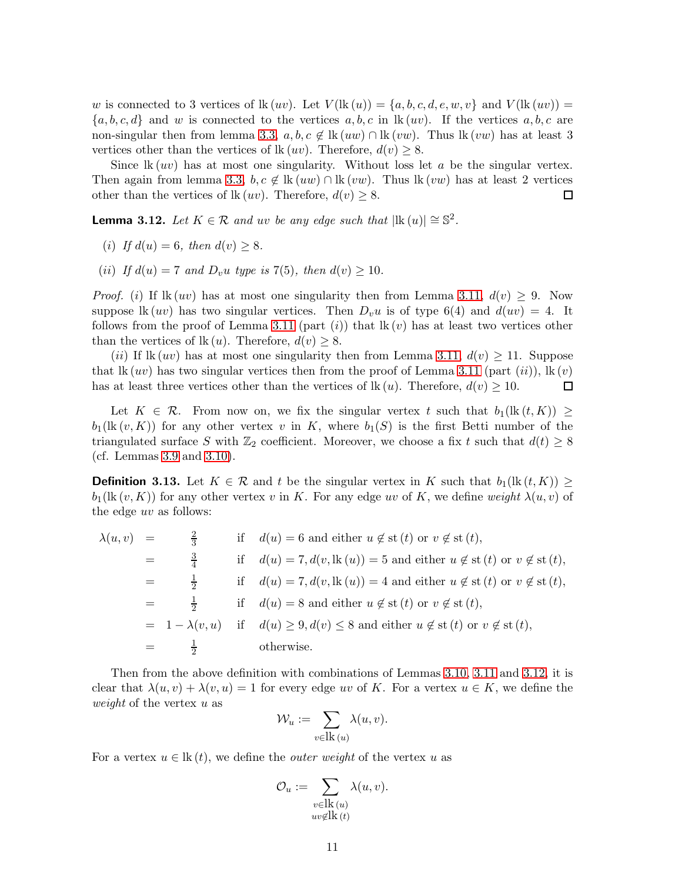w is connected to 3 vertices of  $lk(w)$ . Let  $V(lk(u)) = \{a, b, c, d, e, w, v\}$  and  $V(lk(w)) =$  $\{a, b, c, d\}$  and w is connected to the vertices  $a, b, c$  in  $lk (uv)$ . If the vertices  $a, b, c$  are non-singular then from lemma [3.3,](#page-7-1)  $a, b, c \notin \mathbb{R}$  (*uw*) ∩ lk (*vw*). Thus lk (*vw*) has at least 3 vertices other than the vertices of  $lk (uv)$ . Therefore,  $d(v) \geq 8$ .

Since  $lk(w)$  has at most one singularity. Without loss let a be the singular vertex. Then again from lemma [3.3,](#page-7-1)  $b, c \notin \mathbb{R} (uw) \cap \mathbb{R} (vw)$ . Thus  $\mathbb{R} (vw)$  has at least 2 vertices other than the vertices of lk  $(uv)$ . Therefore,  $d(v) \geq 8$ .  $\Box$ 

<span id="page-10-0"></span>**Lemma 3.12.** Let  $K \in \mathcal{R}$  and uv be any edge such that  $|\mathbf{lk}(u)| \cong \mathbb{S}^2$ .

- (i) If  $d(u) = 6$ , then  $d(v) \geq 8$ .
- (ii) If  $d(u) = 7$  and  $D_v u$  type is 7(5), then  $d(v) \ge 10$ .

*Proof.* (i) If  $\text{lk}(uv)$  has at most one singularity then from Lemma [3.11,](#page-9-1)  $d(v) \geq 9$ . Now suppose lk (uv) has two singular vertices. Then  $D_v u$  is of type 6(4) and  $d(uv) = 4$ . It follows from the proof of Lemma [3.11](#page-9-1) (part  $(i)$ ) that  $lk (v)$  has at least two vertices other than the vertices of  $\text{lk}(u)$ . Therefore,  $d(v) \geq 8$ .

(ii) If  $\text{lk}(uv)$  has at most one singularity then from Lemma [3.11,](#page-9-1)  $d(v) \geq 11$ . Suppose that lk  $(uv)$  has two singular vertices then from the proof of Lemma [3.11](#page-9-1) (part  $(ii)$ ), lk  $(v)$  $\Box$ has at least three vertices other than the vertices of  $\text{lk}(u)$ . Therefore,  $d(v) \geq 10$ .

Let  $K \in \mathcal{R}$ . From now on, we fix the singular vertex t such that  $b_1(\mathbf{lk}(t, K)) \geq$  $b_1(\text{lk}(v, K))$  for any other vertex v in K, where  $b_1(S)$  is the first Betti number of the triangulated surface S with  $\mathbb{Z}_2$  coefficient. Moreover, we choose a fix t such that  $d(t) \geq 8$ (cf. Lemmas [3.9](#page-8-0) and [3.10\)](#page-8-3).

<span id="page-10-1"></span>**Definition 3.13.** Let  $K \in \mathcal{R}$  and t be the singular vertex in K such that  $b_1(\text{lk}(t, K)) \geq$  $b_1(\text{lk}(v, K))$  for any other vertex v in K. For any edge uv of K, we define weight  $\lambda(u, v)$  of the edge uv as follows:

$$
\lambda(u, v) = \frac{2}{3} \quad \text{if} \quad d(u) = 6 \text{ and either } u \notin \text{st}(t) \text{ or } v \notin \text{st}(t),
$$
  
\n
$$
= \frac{3}{4} \quad \text{if} \quad d(u) = 7, d(v, \text{lk}(u)) = 5 \text{ and either } u \notin \text{st}(t) \text{ or } v \notin \text{st}(t),
$$
  
\n
$$
= \frac{1}{2} \quad \text{if} \quad d(u) = 7, d(v, \text{lk}(u)) = 4 \text{ and either } u \notin \text{st}(t) \text{ or } v \notin \text{st}(t),
$$
  
\n
$$
= \frac{1}{2} \quad \text{if} \quad d(u) = 8 \text{ and either } u \notin \text{st}(t) \text{ or } v \notin \text{st}(t),
$$
  
\n
$$
= 1 - \lambda(v, u) \quad \text{if} \quad d(u) \ge 9, d(v) \le 8 \text{ and either } u \notin \text{st}(t) \text{ or } v \notin \text{st}(t),
$$
  
\n
$$
= \frac{1}{2} \quad \text{otherwise.}
$$

Then from the above definition with combinations of Lemmas [3.10,](#page-8-3) [3.11](#page-9-1) and [3.12,](#page-10-0) it is clear that  $\lambda(u, v) + \lambda(v, u) = 1$  for every edge uv of K. For a vertex  $u \in K$ , we define the weight of the vertex  $u$  as

$$
\mathcal{W}_u := \sum_{v \in \text{lk}(u)} \lambda(u, v).
$$

For a vertex  $u \in \mathbf{k}(t)$ , we define the *outer weight* of the vertex u as

$$
\mathcal{O}_u := \sum_{\substack{v \in \text{lk}(u) \\ uv \notin \text{lk}(t)}} \lambda(u, v).
$$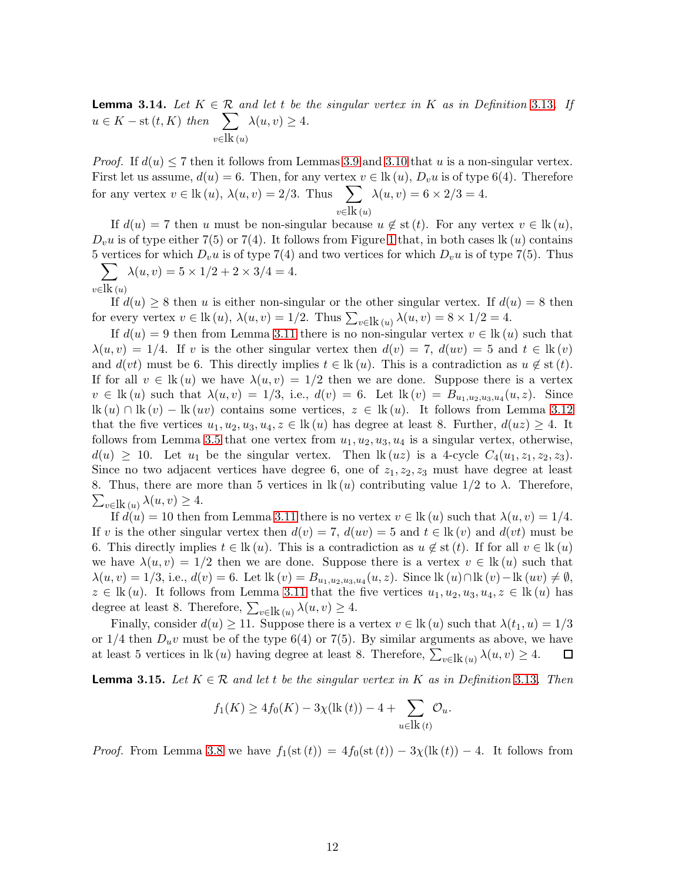<span id="page-11-0"></span>**Lemma 3.14.** Let  $K \in \mathcal{R}$  and let t be the singular vertex in K as in Definition 3.[13](#page-10-1). If  $u \in K - \text{st}(t, K)$  then  $\sum$  $v∈$ lk (*u*)  $\lambda(u, v) \geq 4.$ 

*Proof.* If  $d(u) < 7$  then it follows from Lemmas [3.9](#page-8-0) and [3.10](#page-8-3) that u is a non-singular vertex. First let us assume,  $d(u) = 6$ . Then, for any vertex  $v \in \mathbb{k} (u)$ ,  $D_v u$  is of type 6(4). Therefore for any vertex  $v \in \text{lk}(u)$ ,  $\lambda(u, v) = 2/3$ . Thus  $\sum$  $v∈$ lk (*u*)  $\lambda(u, v) = 6 \times 2/3 = 4.$ 

If  $d(u) = 7$  then u must be non-singular because  $u \notin$  st  $(t)$ . For any vertex  $v \in \text{lk}(u)$ ,  $D_{v}u$  is of type either 7(5) or 7(4). It follows from Figure [1](#page-9-0) that, in both cases lk (u) contains 5 vertices for which  $D_v u$  is of type 7(4) and two vertices for which  $D_v u$  is of type 7(5). Thus  $\sum \lambda(u, v) = 5 \times 1/2 + 2 \times 3/4 = 4.$ 

$$
v\in\!\overline{\text{lk}}\,(u)
$$

If  $d(u) \geq 8$  then u is either non-singular or the other singular vertex. If  $d(u) = 8$  then for every vertex  $v \in \text{lk}(u)$ ,  $\lambda(u, v) = 1/2$ . Thus  $\sum_{v \in \text{lk}(u)} \lambda(u, v) = 8 \times 1/2 = 4$ .

If  $d(u) = 9$  then from Lemma 3.[11](#page-9-1) there is no non-singular vertex  $v \in \mathbb{R}(u)$  such that  $\lambda(u, v) = 1/4$ . If v is the other singular vertex then  $d(v) = 7$ ,  $d(uv) = 5$  and  $t \in \mathbb{R}(v)$ and  $d(vt)$  must be 6. This directly implies  $t \in \text{lk}(u)$ . This is a contradiction as  $u \notin \text{st}(t)$ . If for all  $v \in \text{lk}(u)$  we have  $\lambda(u, v) = 1/2$  then we are done. Suppose there is a vertex  $v \in \mathbb{k}(u)$  such that  $\lambda(u, v) = 1/3$ , i.e.,  $d(v) = 6$ . Let  $\mathbb{k}(v) = B_{u_1, u_2, u_3, u_4}(u, z)$ . Since lk (u) ∩ lk (v) − lk (uv) contains some vertices,  $z \in \text{lk}(u)$ . It follows from Lemma [3.12](#page-10-0) that the five vertices  $u_1, u_2, u_3, u_4, z \in \text{lk}(u)$  has degree at least 8. Further,  $d(uz) \geq 4$ . It follows from Lemma [3.5](#page-7-3) that one vertex from  $u_1, u_2, u_3, u_4$  is a singular vertex, otherwise,  $d(u) \geq 10$ . Let  $u_1$  be the singular vertex. Then  $\text{lk}(uz)$  is a 4-cycle  $C_4(u_1, z_1, z_2, z_3)$ . Since no two adjacent vertices have degree 6, one of  $z_1, z_2, z_3$  must have degree at least  $\sum_{v \in \text{lk}(u)} \lambda(u, v) \geq 4.$ 8. Thus, there are more than 5 vertices in  $lk(u)$  contributing value  $1/2$  to  $\lambda$ . Therefore,

If  $d(u) = 10$  then from Lemma 3.[11](#page-9-1) there is no vertex  $v \in \text{lk}(u)$  such that  $\lambda(u, v) = 1/4$ . If v is the other singular vertex then  $d(v) = 7$ ,  $d(uv) = 5$  and  $t \in \mathbb{R}(v)$  and  $d(vt)$  must be 6. This directly implies  $t \in \text{lk}(u)$ . This is a contradiction as  $u \notin \text{st}(t)$ . If for all  $v \in \text{lk}(u)$ we have  $\lambda(u, v) = 1/2$  then we are done. Suppose there is a vertex  $v \in \mathbb{R}(u)$  such that  $\lambda(u, v) = 1/3$ , i.e.,  $d(v) = 6$ . Let  $lk(v) = B_{u_1, u_2, u_3, u_4}(u, z)$ . Since  $lk(u) \cap lk(v) - lk(uv) \neq \emptyset$ ,  $z \in \text{lk}(u)$ . It follows from Lemma 3.[11](#page-9-1) that the five vertices  $u_1, u_2, u_3, u_4, z \in \text{lk}(u)$  has degree at least 8. Therefore,  $\sum_{v \in \text{lk}(u)} \lambda(u, v) \geq 4$ .

Finally, consider  $d(u) \ge 11$ . Suppose there is a vertex  $v \in \text{lk}(u)$  such that  $\lambda(t_1, u) = 1/3$ or  $1/4$  then  $D_u v$  must be of the type 6(4) or 7(5). By similar arguments as above, we have at least 5 vertices in lk (*u*) having degree at least 8. Therefore,  $\sum_{v \in \mathbf{lk}(u)} \lambda(u, v) \geq 4$ .  $\Box$ 

<span id="page-11-1"></span>**Lemma 3.15.** Let  $K \in \mathcal{R}$  and let t be the singular vertex in K as in Definition 3.[13](#page-10-1). Then

$$
f_1(K) \ge 4f_0(K) - 3\chi(\text{lk }(t)) - 4 + \sum_{u \in \text{lk}(t)} O_u.
$$

*Proof.* From Lemma [3.8](#page-8-4) we have  $f_1(\text{st}(t)) = 4f_0(\text{st}(t)) - 3\chi(\text{lk}(t)) - 4$ . It follows from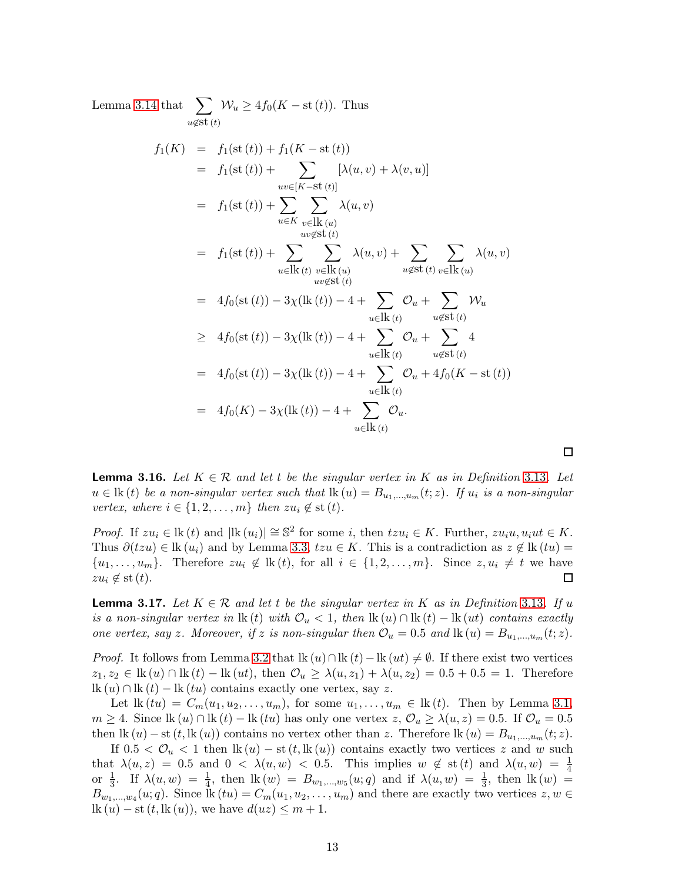Lemma [3.14](#page-11-0) that  $\sum$  $u \notin s$ t $(t)$  $W_u \ge 4f_0(K - st(t))$ . Thus  $f_1(K) = f_1(\text{st}(t)) + f_1(K - \text{st}(t))$  $= f_1(\text{st } (t)) + \sum$  $uv \in [K - St(t)]$  $[\lambda(u, v) + \lambda(v, u)]$  $= f_1(\text{st } (t)) + \sum$ u∈K  $\sum$  $v∈$ lk (*u*)  $uv \notin s$ t $(t)$  $\lambda(u,v)$  $= f_1(\text{st } (t)) + \sum$  $u∈\text{lk}\left(t\right)$  $\sum$  $v \in \mathbf{lk}(u)$  $uv \cancel{\in} \mathrm{st}(t)$  $\lambda(u, v) + \sum$  $u \notin s$ t $(t)$  $\sum$  $v∈$ lk (*u*)  $\lambda(u,v)$  $= 4f_0(\text{st } (t)) - 3\chi(\text{lk } (t)) - 4 + \sum$  $u∈\text{lk}\left(t\right)$  $\mathcal{O}_u + \sum$  $u \notin s$ t $(t)$  $\mathcal{W}_u$  $\geq 4f_0(\text{st } (t)) - 3\chi(\text{lk } (t)) - 4 + \sum$  $u∈\text{lk}\left(t\right)$  $\mathcal{O}_u + \sum$  $u \notin s$ t $(t)$ 4  $= 4f_0(\text{st } (t)) - 3\chi(\text{lk } (t)) - 4 + \sum$  $u \in \mathbf{lk}(t)$  $\mathcal{O}_u + 4f_0(K - st(t))$  $= 4f_0(K) - 3\chi(\text{lk }(t)) - 4 + \sum$  $u \in \mathbf{lk}(t)$  $\mathcal{O}_u.$ 

<span id="page-12-1"></span>**Lemma 3.16.** Let  $K \in \mathcal{R}$  and let t be the singular vertex in K as in Definition 3.[13](#page-10-1). Let  $u \in \text{lk}(t)$  be a non-singular vertex such that  $\text{lk}(u) = B_{u_1,...,u_m}(t;z)$ . If  $u_i$  is a non-singular vertex, where  $i \in \{1, 2, \ldots, m\}$  then  $zu_i \notin$  st  $(t)$ .

*Proof.* If  $zu_i \in \mathbb{k}$  (t) and  $|\mathbb{k}(u_i)| \cong \mathbb{S}^2$  for some i, then  $tzu_i \in K$ . Further,  $zu_iu, u_iut \in K$ . Thus  $\partial(tzu) \in \text{lk}(u_i)$  and by Lemma [3.3,](#page-7-1)  $tzu \in K$ . This is a contradiction as  $z \notin \text{lk}(tu)$  $\{u_1, \ldots, u_m\}$ . Therefore  $zu_i \notin \mathbb{R}(t)$ , for all  $i \in \{1, 2, \ldots, m\}$ . Since  $z, u_i \neq t$  we have  $zu_i \notin$  st  $(t)$ .  $\Box$ 

<span id="page-12-0"></span>**Lemma 3.17.** Let  $K \in \mathcal{R}$  and let t be the singular vertex in K as in Definition 3.[13](#page-10-1). If u is a non-singular vertex in  $\text{lk}(t)$  with  $\mathcal{O}_u < 1$ , then  $\text{lk}(u) \cap \text{lk}(t) - \text{lk}(ut)$  contains exactly one vertex, say z. Moreover, if z is non-singular then  $\mathcal{O}_u = 0.5$  and  $\text{lk}(u) = B_{u_1,...,u_m}(t; z)$ .

*Proof.* It follows from Lemma [3.2](#page-7-0) that  $\text{lk}(u) \cap \text{lk}(t) - \text{lk}(ut) \neq \emptyset$ . If there exist two vertices  $z_1, z_2 \in \text{lk}(u) \cap \text{lk}(t) - \text{lk}(ut)$ , then  $\mathcal{O}_u \geq \lambda(u, z_1) + \lambda(u, z_2) = 0.5 + 0.5 = 1$ . Therefore  $\text{lk}(u) \cap \text{lk}(t) - \text{lk}(tu)$  contains exactly one vertex, say z.

Let  $\text{lk}(tu) = C_m(u_1, u_2, \ldots, u_m)$ , for some  $u_1, \ldots, u_m \in \text{lk}(t)$ . Then by Lemma [3.1,](#page-6-0)  $m \geq 4$ . Since  $\text{lk}(u) \cap \text{lk}(t) - \text{lk}(tu)$  has only one vertex  $z, \mathcal{O}_u \geq \lambda(u, z) = 0.5$ . If  $\mathcal{O}_u = 0.5$ then  $\text{lk}(u) - \text{st}(t, \text{lk}(u))$  contains no vertex other than z. Therefore  $\text{lk}(u) = B_{u_1,...,u_m}(t; z)$ .

If  $0.5 < \mathcal{O}_u < 1$  then  $\text{lk}(u) - \text{st}(t, \text{lk}(u))$  contains exactly two vertices z and w such that  $\lambda(u, z) = 0.5$  and  $0 < \lambda(u, w) < 0.5$ . This implies  $w \notin$  st (t) and  $\lambda(u, w) = \frac{1}{4}$ or  $\frac{1}{3}$ . If  $\lambda(u, w) = \frac{1}{4}$ , then  $lk(w) = B_{w_1,...,w_5}(u; q)$  and if  $\lambda(u, w) = \frac{1}{3}$ , then  $lk(w) =$  $B_{w_1,...,w_4}(u;q)$ . Since  $\text{lk}(tu) = C_m(u_1, u_2,..., u_m)$  and there are exactly two vertices  $z, w \in$  $\text{lk}(u) - \text{st}(t, \text{lk}(u))$ , we have  $d(uz) \leq m+1$ .

 $\Box$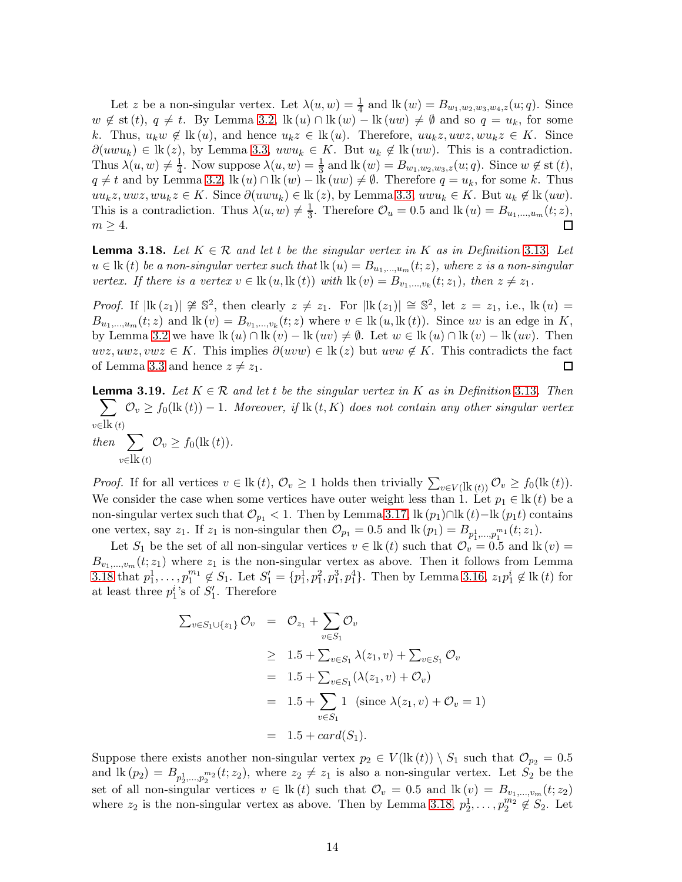Let z be a non-singular vertex. Let  $\lambda(u, w) = \frac{1}{4}$  and  $\text{lk}(w) = B_{w_1, w_2, w_3, w_4, z}(u; q)$ . Since  $w \notin \text{st}(t), q \neq t$ . By Lemma [3.2,](#page-7-0)  $\text{lk}(u) \cap \text{lk}(w) - \text{lk}(uw) \neq \emptyset$  and so  $q = u_k$ , for some k. Thus,  $u_k w \notin \mathbb{R}(u)$ , and hence  $u_k z \in \mathbb{R}(u)$ . Therefore,  $uu_k z$ ,  $u w z$ ,  $wu_k z \in K$ . Since  $\partial(uwu_k) \in \mathbb{R}(z)$ , by Lemma [3.3,](#page-7-1)  $uwu_k \in K$ . But  $u_k \notin \mathbb{R}(uw)$ . This is a contradiction. Thus  $\lambda(u, w) \neq \frac{1}{4}$ . Now suppose  $\lambda(u, w) = \frac{1}{3}$  and  $\text{lk}(w) = B_{w_1, w_2, w_3, z}(u; q)$ . Since  $w \notin \text{st}(t)$ ,  $q \neq t$  and by Lemma [3.2,](#page-7-0) lk  $(u) \cap$ lk  $(w) -$ lk  $(uw) \neq \emptyset$ . Therefore  $q = u_k$ , for some k. Thus uu<sub>k</sub>z, uwz, wu<sub>k</sub>z ∈ K. Since  $\partial(uwu_k) \in \text{lk}(z)$ , by Lemma [3.3,](#page-7-1) uwu<sub>k</sub> ∈ K. But u<sub>k</sub> ∉ lk (uw). This is a contradiction. Thus  $\lambda(u, w) \neq \frac{1}{3}$  $\frac{1}{3}$ . Therefore  $\mathcal{O}_u = 0.5$  and  $\text{lk}(u) = B_{u_1,...,u_m}(t; z)$ ,  $m \geq 4$ . П

<span id="page-13-0"></span>**Lemma 3.18.** Let  $K \in \mathcal{R}$  and let t be the singular vertex in K as in Definition 3.[13](#page-10-1). Let  $u \in \text{lk}(t)$  be a non-singular vertex such that  $\text{lk}(u) = B_{u_1,...,u_m}(t; z)$ , where z is a non-singular vertex. If there is a vertex  $v \in \text{lk}(u, \text{lk}(t))$  with  $\text{lk}(v) = B_{v_1,...,v_k}(t; z_1)$ , then  $z \neq z_1$ .

*Proof.* If  $|\mathbf{lk}(z_1)| \not\cong \mathbb{S}^2$ , then clearly  $z \neq z_1$ . For  $|\mathbf{lk}(z_1)| \cong \mathbb{S}^2$ , let  $z = z_1$ , i.e.,  $\mathbf{lk}(u) =$  $B_{u_1,\dots,u_m}(t;z)$  and  $\text{lk}(v) = B_{v_1,\dots,v_k}(t;z)$  where  $v \in \text{lk}(u,\text{lk}(t))$ . Since uv is an edge in K, by Lemma [3.2](#page-7-0) we have  $\text{lk}(u) \cap \text{lk}(v) - \text{lk}(uv) \neq \emptyset$ . Let  $w \in \text{lk}(u) \cap \text{lk}(v) - \text{lk}(uv)$ . Then  $uvz, uwz, vwz \in K$ . This implies  $\partial(uvw) \in \text{lk}(z)$  but  $uvw \notin K$ . This contradicts the fact of Lemma [3.3](#page-7-1) and hence  $z \neq z_1$ .  $\Box$ 

<span id="page-13-1"></span>**Lemma 3.19.** Let  $K \in \mathcal{R}$  and let t be the singular vertex in K as in Definition 3.[13](#page-10-1). Then  $\sum$  $v∈$ lk (t)  $\mathcal{O}_v \geq f_0(\text{lk}\,(t))-1$ . Moreover, if  $\text{lk}\,(t,K)$  does not contain any other singular vertex then  $\sum$  $v \in \mathbf{lk}(t)$  $\mathcal{O}_v \geq f_0(\text{lk }(t)).$ 

*Proof.* If for all vertices  $v \in \text{lk}(t)$ ,  $\mathcal{O}_v \ge 1$  holds then trivially  $\sum_{v \in V(\text{lk}(t))} \mathcal{O}_v \ge f_0(\text{lk}(t))$ . We consider the case when some vertices have outer weight less than 1. Let  $p_1 \in \text{lk}(t)$  be a non-singular vertex such that  $\mathcal{O}_{p_1}$  < 1. Then by Lemma [3.17,](#page-12-0) lk  $(p_1) \cap \text{lk}(t) - \text{lk}(p_1 t)$  contains one vertex, say  $z_1$ . If  $z_1$  is non-singular then  $\mathcal{O}_{p_1} = 0.5$  and  $\text{lk}(p_1) = B_{p_1^1, \dots, p_1^{m_1}}(t; z_1)$ .

Let  $S_1$  be the set of all non-singular vertices  $v \in \text{lk}(t)$  such that  $\mathcal{O}_v = 0.5$  and  $\text{lk}(v) =$  $B_{v_1,...,v_m}(t; z_1)$  where  $z_1$  is the non-singular vertex as above. Then it follows from Lemma [3.18](#page-13-0) that  $p_1^1, \ldots, p_1^{m_1}$  $_1^{m_1} \notin S_1$ . Let  $S'_1 = \{p_1^1, p_1^2, p_1^3, p_1^4\}$ . Then by Lemma [3.16,](#page-12-1)  $z_1 p_1^i \notin \text{lk}(t)$  for at least three  $p_1^i$ 's of  $S_1'$ . Therefore

$$
\sum_{v \in S_1 \cup \{z_1\}} \mathcal{O}_v = \mathcal{O}_{z_1} + \sum_{v \in S_1} \mathcal{O}_v
$$
\n
$$
\geq 1.5 + \sum_{v \in S_1} \lambda(z_1, v) + \sum_{v \in S_1} \mathcal{O}_v
$$
\n
$$
= 1.5 + \sum_{v \in S_1} (\lambda(z_1, v) + \mathcal{O}_v)
$$
\n
$$
= 1.5 + \sum_{v \in S_1} 1 \text{ (since } \lambda(z_1, v) + \mathcal{O}_v = 1)
$$
\n
$$
= 1.5 + card(S_1).
$$

Suppose there exists another non-singular vertex  $p_2 \in V(\text{lk}(t)) \setminus S_1$  such that  $\mathcal{O}_{p_2} = 0.5$ and  $\text{lk}(p_2) = B_{p_2^1,\dots,p_2^{m_2}}(t;z_2)$ , where  $z_2 \neq z_1$  is also a non-singular vertex. Let  $S_2$  be the set of all non-singular vertices  $v \in \mathbf{k}(t)$  such that  $\mathcal{O}_v = 0.5$  and  $\mathbf{k}(v) = B_{v_1,...,v_m}(t; z_2)$ where  $z_2$  is the non-singular vertex as above. Then by Lemma [3.18,](#page-13-0)  $p_2^1, \ldots, p_2^{m_2} \notin S_2$ . Let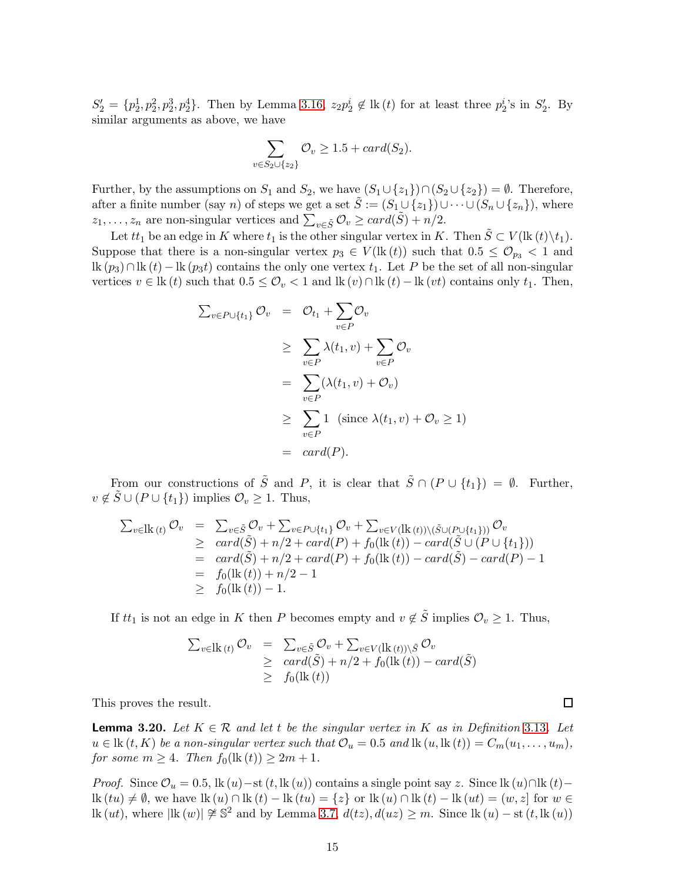$S'_2 = \{p_2^1, p_2^2, p_2^3, p_2^4\}$ . Then by Lemma [3.16,](#page-12-1)  $z_2p_2^i \notin \mathbb{R}(t)$  for at least three  $p_2^i$ 's in  $S'_2$ . By similar arguments as above, we have

$$
\sum_{v \in S_2 \cup \{z_2\}} \mathcal{O}_v \ge 1.5 + card(S_2).
$$

Further, by the assumptions on  $S_1$  and  $S_2$ , we have  $(S_1 \cup \{z_1\}) \cap (S_2 \cup \{z_2\}) = \emptyset$ . Therefore, after a finite number (say n) of steps we get a set  $\tilde{S} := (S_1 \cup \{z_1\}) \cup \cdots \cup (S_n \cup \{z_n\})$ , where  $z_1, \ldots, z_n$  are non-singular vertices and  $\sum_{v \in \tilde{S}} \mathcal{O}_v \geq card(\tilde{S}) + n/2$ .

Let  $tt_1$  be an edge in K where  $t_1$  is the other singular vertex in K. Then  $\tilde{S} \subset V(\text{lk}(t)\backslash t_1)$ . Suppose that there is a non-singular vertex  $p_3 \in V(\text{lk}(t))$  such that  $0.5 \leq \mathcal{O}_{p_3} < 1$  and lk  $(p_3) \cap$ lk  $(t)$  – lk  $(p_3t)$  contains the only one vertex  $t_1$ . Let P be the set of all non-singular vertices  $v \in \text{lk}(t)$  such that  $0.5 \leq \mathcal{O}_v < 1$  and  $\text{lk}(v) \cap \text{lk}(t) - \text{lk}(vt)$  contains only  $t_1$ . Then,

$$
\sum_{v \in P \cup \{t_1\}} \mathcal{O}_v = \mathcal{O}_{t_1} + \sum_{v \in P} \mathcal{O}_v
$$
\n
$$
\geq \sum_{v \in P} \lambda(t_1, v) + \sum_{v \in P} \mathcal{O}_v
$$
\n
$$
= \sum_{v \in P} (\lambda(t_1, v) + \mathcal{O}_v)
$$
\n
$$
\geq \sum_{v \in P} 1 \text{ (since } \lambda(t_1, v) + \mathcal{O}_v \geq 1)
$$
\n
$$
= \text{ card}(P).
$$

From our constructions of  $\tilde{S}$  and P, it is clear that  $\tilde{S} \cap (P \cup \{t_1\}) = \emptyset$ . Further,  $v \notin \tilde{S} \cup (P \cup \{t_1\})$  implies  $\mathcal{O}_v \geq 1$ . Thus,

$$
\sum_{v \in \mathcal{R}} c_{v} = \sum_{v \in \tilde{S}} \mathcal{O}_{v} + \sum_{v \in P \cup \{t_{1}\}} \mathcal{O}_{v} + \sum_{v \in V} (\mathcal{R}(t)) \setminus (\tilde{S} \cup (P \cup \{t_{1}\})) \mathcal{O}_{v}
$$
\n
$$
\geq \operatorname{card}(\tilde{S}) + n/2 + \operatorname{card}(P) + f_{0}(\mathcal{R}(t)) - \operatorname{card}(\tilde{S} \cup (P \cup \{t_{1}\}))
$$
\n
$$
= \operatorname{card}(\tilde{S}) + n/2 + \operatorname{card}(P) + f_{0}(\mathcal{R}(t)) - \operatorname{card}(\tilde{S}) - \operatorname{card}(P) - 1
$$
\n
$$
= f_{0}(\mathcal{R}(t)) + n/2 - 1
$$
\n
$$
\geq f_{0}(\mathcal{R}(t)) - 1.
$$

If  $tt_1$  is not an edge in K then P becomes empty and  $v \notin \tilde{S}$  implies  $\mathcal{O}_v \geq 1$ . Thus,

$$
\sum_{v \in \mathbf{lk}(t)} \mathcal{O}_v = \sum_{v \in \tilde{S}} \mathcal{O}_v + \sum_{v \in V(\mathbf{lk}(t)) \setminus \tilde{S}} \mathcal{O}_v
$$
\n
$$
\geq \operatorname{card}(\tilde{S}) + n/2 + f_0(\mathbf{lk}(t)) - \operatorname{card}(\tilde{S})
$$
\n
$$
\geq f_0(\mathbf{lk}(t))
$$

This proves the result.

<span id="page-14-0"></span>**Lemma 3.20.** Let  $K \in \mathcal{R}$  and let t be the singular vertex in K as in Definition 3.[13](#page-10-1). Let  $u \in \text{lk }(t, K)$  be a non-singular vertex such that  $\mathcal{O}_u = 0.5$  and  $\text{lk }(u, \text{lk }(t)) = C_m(u_1, \ldots, u_m)$ , for some  $m \geq 4$ . Then  $f_0(\text{lk}(t)) \geq 2m + 1$ .

*Proof.* Since  $\mathcal{O}_u = 0.5$ , lk  $(u)$ −st  $(t, \text{lk } (u))$  contains a single point say z. Since lk  $(u) \cap \text{lk } (t)$ − lk  $(tu) \neq \emptyset$ , we have lk  $(u) \cap$ lk  $(t) -$ lk $(tu) = \{z\}$  or lk  $(u) \cap$ lk  $(t) -$ lk  $(ut) = (w, z]$  for  $w \in$ lk (ut), where  $|\text{lk}(w)| \not\cong \mathbb{S}^2$  and by Lemma [3.7,](#page-8-1)  $d(tz)$ ,  $d(uz) \geq m$ . Since  $\text{lk}(u) - \text{st}(t, \text{lk}(u))$ 

 $\Box$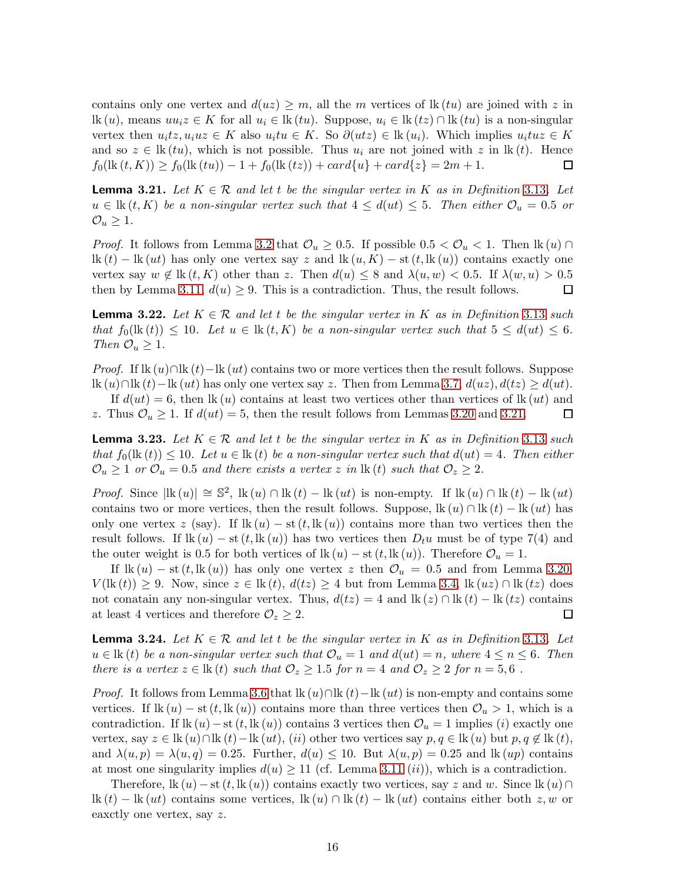contains only one vertex and  $d(uz) \geq m$ , all the m vertices of lk  $(tu)$  are joined with z in lk (u), means  $uu_iz \in K$  for all  $u_i \in \text{lk}(tu)$ . Suppose,  $u_i \in \text{lk}(tz) \cap \text{lk}(tu)$  is a non-singular vertex then  $u_i t z, u_i u z \in K$  also  $u_i t u \in K$ . So  $\partial (u t z) \in \text{lk} (u_i)$ . Which implies  $u_i t u z \in K$ and so  $z \in \text{lk}(tu)$ , which is not possible. Thus  $u_i$  are not joined with z in  $\text{lk}(t)$ . Hence  $f_0(\text{lk }(t,K)) \ge f_0(\text{lk }(tu)) - 1 + f_0(\text{lk }(tz)) + card\{u\} + card\{z\} = 2m + 1.$  $\Box$ 

<span id="page-15-0"></span>**Lemma 3.21.** Let  $K \in \mathcal{R}$  and let t be the singular vertex in K as in Definition 3.[13](#page-10-1). Let  $u \in \text{lk}(t, K)$  be a non-singular vertex such that  $4 \leq d(u_t) \leq 5$ . Then either  $\mathcal{O}_u = 0.5$  or  $\mathcal{O}_u \geq 1$ .

*Proof.* It follows from Lemma [3.2](#page-7-0) that  $\mathcal{O}_u \geq 0.5$ . If possible  $0.5 < \mathcal{O}_u < 1$ . Then  $\mathsf{lk}(u) \cap$  $\text{lk}(t) - \text{lk}(ut)$  has only one vertex say z and  $\text{lk}(u, K) - \text{st}(t, \text{lk}(u))$  contains exactly one vertex say  $w \notin \text{lk}(t, K)$  other than z. Then  $d(u) \leq 8$  and  $\lambda(u, w) < 0.5$ . If  $\lambda(w, u) > 0.5$ then by Lemma [3.11,](#page-9-1)  $d(u) \geq 9$ . This is a contradiction. Thus, the result follows.  $\Box$ 

<span id="page-15-1"></span>**Lemma 3.22.** Let  $K \in \mathcal{R}$  and let t be the singular vertex in K as in Definition 3.[13](#page-10-1) such that  $f_0(\text{lk}(t)) \leq 10$ . Let  $u \in \text{lk}(t, K)$  be a non-singular vertex such that  $5 \leq d(ut) \leq 6$ . Then  $\mathcal{O}_u \geq 1$ .

*Proof.* If lk  $(u) \cap$ lk  $(t)$ −lk  $(ut)$  contains two or more vertices then the result follows. Suppose lk  $(u) \cap$ lk  $(t)$ −lk  $(ut)$  has only one vertex say z. Then from Lemma [3.7,](#page-8-1)  $d(uz)$ ,  $d(tz) \geq d(ut)$ .

If  $d(ut) = 6$ , then lk (u) contains at least two vertices other than vertices of lk (ut) and z. Thus  $\mathcal{O}_u \geq 1$ . If  $d(ut) = 5$ , then the result follows from Lemmas [3.20](#page-14-0) and [3.21.](#page-15-0)  $\Box$ 

<span id="page-15-2"></span>**Lemma 3.23.** Let  $K \in \mathcal{R}$  and let t be the singular vertex in K as in Definition 3.[13](#page-10-1) such that  $f_0(\mathbf{lk}(t)) \leq 10$ . Let  $u \in \mathbf{lk}(t)$  be a non-singular vertex such that  $d(ut) = 4$ . Then either  $\mathcal{O}_u \geq 1$  or  $\mathcal{O}_u = 0.5$  and there exists a vertex z in  $\text{lk}(t)$  such that  $\mathcal{O}_z \geq 2$ .

*Proof.* Since  $|\mathbf{k}(u)| \approx \mathbb{S}^2$ ,  $\mathbf{k}(u) \cap \mathbf{k}(t) - \mathbf{k}(ut)$  is non-empty. If  $\mathbf{k}(u) \cap \mathbf{k}(t) - \mathbf{k}(ut)$ contains two or more vertices, then the result follows. Suppose,  $\text{lk}(u) \cap \text{lk}(t) - \text{lk}(ut)$  has only one vertex z (say). If  $\text{lk}(u) - \text{st}(t, \text{lk}(u))$  contains more than two vertices then the result follows. If  $\text{lk}(u) - \text{st}(t, \text{lk}(u))$  has two vertices then  $D_t u$  must be of type 7(4) and the outer weight is 0.5 for both vertices of  $\text{lk}(u) - \text{st}(t, \text{lk}(u))$ . Therefore  $\mathcal{O}_u = 1$ .

If  $\text{lk}(u) - \text{st}(t, \text{lk}(u))$  has only one vertex z then  $\mathcal{O}_u = 0.5$  and from Lemma [3.20,](#page-14-0)  $V(\text{lk}(t)) \geq 9$ . Now, since  $z \in \text{lk}(t), d(tz) \geq 4$  but from Lemma [3.4,](#page-7-2)  $\text{lk}(uz) \cap \text{lk}(tz)$  does not conatain any non-singular vertex. Thus,  $d(tz) = 4$  and  $\text{lk}(z) \cap \text{lk}(t) - \text{lk}(tz)$  contains at least 4 vertices and therefore  $\mathcal{O}_z \geq 2$ .  $\Box$ 

<span id="page-15-3"></span>**Lemma 3.24.** Let  $K \in \mathcal{R}$  and let t be the singular vertex in K as in Definition 3.[13](#page-10-1). Let  $u \in \text{lk}(t)$  be a non-singular vertex such that  $\mathcal{O}_u = 1$  and  $d(ut) = n$ , where  $4 \leq n \leq 6$ . Then there is a vertex  $z \in \text{lk}(t)$  such that  $\mathcal{O}_z \geq 1.5$  for  $n = 4$  and  $\mathcal{O}_z \geq 2$  for  $n = 5, 6$ .

*Proof.* It follows from Lemma [3.6](#page-8-2) that  $\mathbb{R}(u) \cap \mathbb{R}(t) - \mathbb{R}(ut)$  is non-empty and contains some vertices. If  $\text{lk}(u) - \text{st}(t, \text{lk}(u))$  contains more than three vertices then  $\mathcal{O}_u > 1$ , which is a contradiction. If lk  $(u)$  – st  $(t, \text{lk } (u))$  contains 3 vertices then  $\mathcal{O}_u = 1$  implies  $(i)$  exactly one vertex, say  $z \in \text{lk } (u) \cap \text{lk } (t) - \text{lk } (ut)$ ,  $(ii)$  other two vertices say  $p, q \in \text{lk } (u)$  but  $p, q \notin \text{lk } (t)$ , and  $\lambda(u, p) = \lambda(u, q) = 0.25$ . Further,  $d(u) \le 10$ . But  $\lambda(u, p) = 0.25$  and  $\text{lk}(uv)$  contains at most one singularity implies  $d(u) \ge 11$  (cf. Lemma [3.11](#page-9-1)  $(ii)$ ), which is a contradiction.

Therefore,  $\text{lk}(u) - \text{st}(t, \text{lk}(u))$  contains exactly two vertices, say z and w. Since  $\text{lk}(u) \cap$  $\mathbf{lk}(t) - \mathbf{lk}(ut)$  contains some vertices,  $\mathbf{lk}(u) \cap \mathbf{lk}(t) - \mathbf{lk}(ut)$  contains either both  $z, w$  or eaxctly one vertex, say z.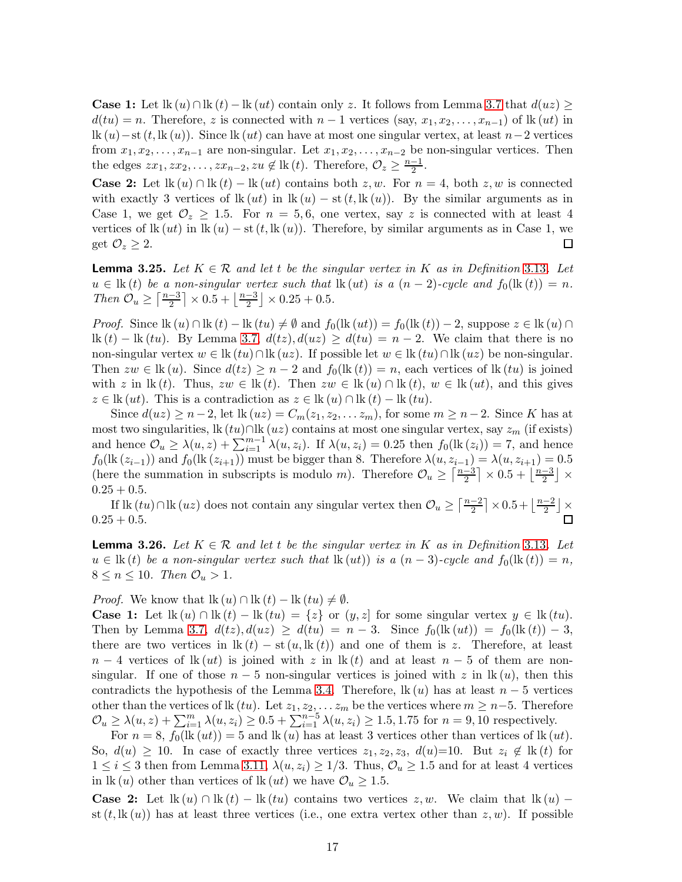**Case 1:** Let  $\text{lk}(u) \cap \text{lk}(t) - \text{lk}(ut)$  contain only z. It follows from Lemma [3.7](#page-8-1) that  $d(uz) \geq$  $d(tu) = n$ . Therefore, z is connected with  $n-1$  vertices (say,  $x_1, x_2, \ldots, x_{n-1}$ ) of lk (ut) in lk  $(u)$ −st  $(t, \mathrm{lk}(u))$ . Since lk  $(ut)$  can have at most one singular vertex, at least  $n-2$  vertices from  $x_1, x_2, \ldots, x_{n-1}$  are non-singular. Let  $x_1, x_2, \ldots, x_{n-2}$  be non-singular vertices. Then the edges  $zx_1, zx_2, \ldots, zx_{n-2}, zu \notin \mathbb{k}(t)$ . Therefore,  $\mathcal{O}_z \geq \frac{n-1}{2}$ .

**Case 2:** Let  $\text{lk}(u) \cap \text{lk}(t) - \text{lk}(ut)$  contains both  $z, w$ . For  $n = 4$ , both  $z, w$  is connected with exactly 3 vertices of  $\text{lk}(ut)$  in  $\text{lk}(u) - \text{st}(t, \text{lk}(u))$ . By the similar arguments as in Case 1, we get  $\mathcal{O}_z \geq 1.5$ . For  $n = 5, 6$ , one vertex, say z is connected with at least 4 vertices of lk  $(ut)$  in lk  $(u)$  – st  $(t, \mathbf{lk}(u))$ . Therefore, by similar arguments as in Case 1, we get  $\mathcal{O}_z \geq 2$ .  $\Box$ 

<span id="page-16-1"></span>**Lemma 3.25.** Let  $K \in \mathcal{R}$  and let t be the singular vertex in K as in Definition 3.[13](#page-10-1). Let  $u \in \mathbb{R}(t)$  be a non-singular vertex such that  $\mathbb{R}(ut)$  is a  $(n-2)$ -cycle and  $f_0(\mathbb{R}(t)) = n$ . Then  $\mathcal{O}_u \geq \left\lceil \frac{n-3}{2} \right\rceil$  $\frac{-3}{2}$   $\times$  0.5 +  $\frac{n-3}{2}$  $\frac{-3}{2}$   $\times$  0.25 + 0.5.

*Proof.* Since  $\text{lk}(u) \cap \text{lk}(t) - \text{lk}(tu) \neq \emptyset$  and  $f_0(\text{lk}(ut)) = f_0(\text{lk}(t)) - 2$ , suppose  $z \in \text{lk}(u) \cap$ lk  $(t)$  – lk  $(tu)$ . By Lemma [3.7,](#page-8-1)  $d(tz)$ ,  $d(uz) \geq d(tu) = n-2$ . We claim that there is no non-singular vertex  $w \in \text{lk}(tu) \cap \text{lk}(uz)$ . If possible let  $w \in \text{lk}(tu) \cap \text{lk}(uz)$  be non-singular. Then  $zw \in \text{lk}(u)$ . Since  $d(tz) \geq n-2$  and  $f_0(\text{lk}(t)) = n$ , each vertices of  $\text{lk}(tu)$  is joined with z in lk (t). Thus,  $zw \in \text{lk}(t)$ . Then  $zw \in \text{lk}(u) \cap \text{lk}(t)$ ,  $w \in \text{lk}(ut)$ , and this gives  $z \in \text{lk}(ut)$ . This is a contradiction as  $z \in \text{lk}(u) \cap \text{lk}(t) - \text{lk}(tu)$ .

Since  $d(uz) \ge n-2$ , let  $lk(uz) = C_m(z_1, z_2, \ldots z_m)$ , for some  $m \ge n-2$ . Since K has at most two singularities, lk  $(tu) \cap$ lk  $(uz)$  contains at most one singular vertex, say  $z_m$  (if exists) and hence  $\mathcal{O}_u \geq \lambda(u, z) + \sum_{i=1}^{m-1} \lambda(u, z_i)$ . If  $\lambda(u, z_i) = 0.25$  then  $f_0(\text{lk}(z_i)) = 7$ , and hence  $f_0(\text{lk }(z_{i-1}))$  and  $f_0(\text{lk }(z_{i+1}))$  must be bigger than 8. Therefore  $\lambda(u, z_{i-1}) = \lambda(u, z_{i+1}) = 0.5$ (here the summation in subscripts is modulo m). Therefore  $\mathcal{O}_u \geq \left\lceil \frac{n-3}{2} \right\rceil$  $\frac{-3}{2}$   $\times$  0.5 +  $\frac{n-3}{2}$  $\frac{-3}{2}$   $\times$  $0.25 + 0.5$ .

If lk  $(tu) \cap$ lk  $(uz)$  does not contain any singular vertex then  $\mathcal{O}_u \geq \left\lceil \frac{n-2}{2} \right\rceil$  $\frac{-2}{2}$  |  $\times$  0.5 +  $\frac{n-2}{2}$  $\frac{-2}{2}$   $\times$  $0.25 + 0.5$ .  $\Box$ 

<span id="page-16-0"></span>**Lemma 3.26.** Let  $K \in \mathcal{R}$  and let t be the singular vertex in K as in Definition 3.[13](#page-10-1). Let  $u \in \text{lk}(t)$  be a non-singular vertex such that  $\text{lk}(ut)$  is a  $(n-3)$ -cycle and  $f_0(\text{lk}(t)) = n$ ,  $8 \leq n \leq 10$ . Then  $\mathcal{O}_u > 1$ .

*Proof.* We know that  $\text{lk}(u) \cap \text{lk}(t) - \text{lk}(tu) \neq \emptyset$ .

**Case 1:** Let  $\text{lk}(u) \cap \text{lk}(t) - \text{lk}(tu) = \{z\}$  or  $(y, z]$  for some singular vertex  $y \in \text{lk}(tu)$ . Then by Lemma [3.7,](#page-8-1)  $d(tz)$ ,  $d(uz) \geq d(tu) = n-3$ . Since  $f_0(\text{lk}(ut)) = f_0(\text{lk}(t)) - 3$ , there are two vertices in  $\text{lk}(t) - \text{st}(u, \text{lk}(t))$  and one of them is z. Therefore, at least  $n-4$  vertices of lk (ut) is joined with z in lk (t) and at least  $n-5$  of them are nonsingular. If one of those  $n-5$  non-singular vertices is joined with z in lk  $(u)$ , then this contradicts the hypothesis of the Lemma [3.4.](#page-7-2) Therefore,  $\text{lk}(u)$  has at least  $n-5$  vertices other than the vertices of lk  $(tu)$ . Let  $z_1, z_2, \ldots z_m$  be the vertices where  $m \geq n-5$ . Therefore  $\mathcal{O}_u \geq \lambda(u, z) + \sum_{i=1}^m \lambda(u, z_i) \geq 0.5 + \sum_{i=1}^{n-5} \lambda(u, z_i) \geq 1.5, 1.75$  for  $n = 9, 10$  respectively.

For  $n = 8$ ,  $f_0$ (lk  $(ut)$ ) = 5 and lk  $(u)$  has at least 3 vertices other than vertices of lk  $(ut)$ . So,  $d(u) \geq 10$ . In case of exactly three vertices  $z_1, z_2, z_3, d(u)=10$ . But  $z_i \notin \mathbb{R}(t)$  for  $1 \leq i \leq 3$  then from Lemma [3.11,](#page-9-1)  $\lambda(u, z_i) \geq 1/3$ . Thus,  $\mathcal{O}_u \geq 1.5$  and for at least 4 vertices in lk (u) other than vertices of lk (ut) we have  $\mathcal{O}_u \geq 1.5$ .

**Case 2:** Let  $\text{lk}(u) \cap \text{lk}(t) - \text{lk}(tu)$  contains two vertices  $z, w$ . We claim that  $\text{lk}(u)$  – st  $(t, \mathbf{lk}(u))$  has at least three vertices (i.e., one extra vertex other than  $z, w$ ). If possible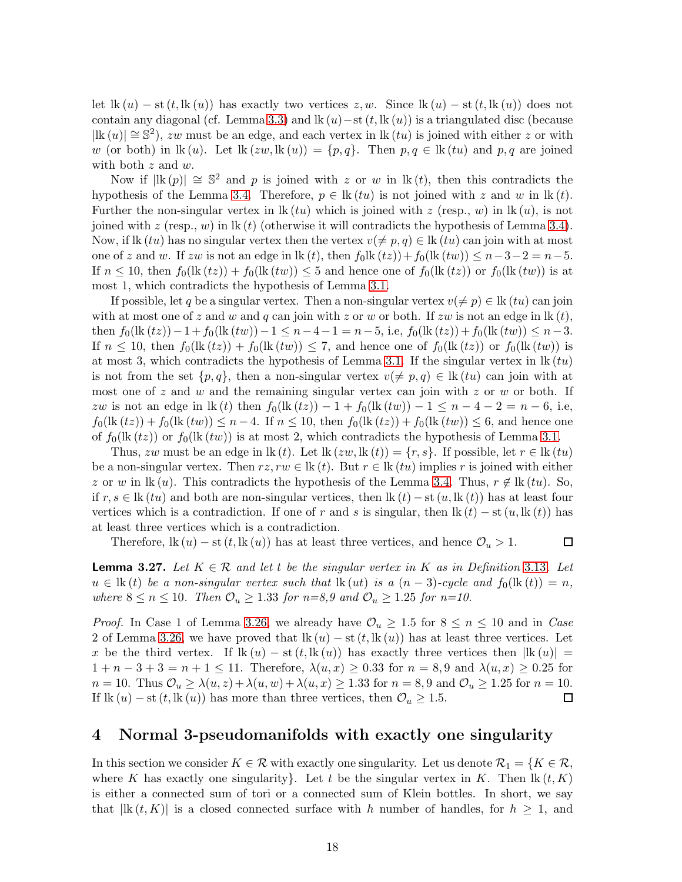let lk  $(u)$  – st  $(t, \mathrm{lk}(u))$  has exactly two vertices  $z, w$ . Since lk  $(u)$  – st  $(t, \mathrm{lk}(u))$  does not contain any diagonal (cf. Lemma [3.3\)](#page-7-1) and lk  $(u)$  – st  $(t, lk(u))$  is a triangulated disc (because  $|\text{lk}(u)| \approx \mathbb{S}^2$ , zw must be an edge, and each vertex in  $\text{lk}(tu)$  is joined with either z or with w (or both) in lk (u). Let  $\text{lk}(zw,\text{lk}(u)) = \{p,q\}$ . Then  $p,q \in \text{lk}(tu)$  and  $p,q$  are joined with both z and w.

Now if  $|\text{lk}(p)| \approx \mathbb{S}^2$  and p is joined with z or w in  $\text{lk}(t)$ , then this contradicts the hypothesis of the Lemma [3.4.](#page-7-2) Therefore,  $p \in \text{lk}(tu)$  is not joined with z and w in  $\text{lk}(t)$ . Further the non-singular vertex in  $\mathbf{lk}(tu)$  which is joined with z (resp., w) in  $\mathbf{lk}(u)$ , is not joined with z (resp., w) in lk (t) (otherwise it will contradicts the hypothesis of Lemma [3.4\)](#page-7-2). Now, if lk (tu) has no singular vertex then the vertex  $v(\neq p, q) \in \text{lk}(tu)$  can join with at most one of z and w. If zw is not an edge in lk (t), then  $f_0$ lk  $(tz)$ ) +  $f_0$ (lk  $(tw)$ ) ≤  $n-3-2 = n-5$ . If  $n \leq 10$ , then  $f_0(\text{lk}(tz)) + f_0(\text{lk}(tw)) \leq 5$  and hence one of  $f_0(\text{lk}(tz))$  or  $f_0(\text{lk}(tw))$  is at most 1, which contradicts the hypothesis of Lemma [3.1.](#page-6-0)

If possible, let q be a singular vertex. Then a non-singular vertex  $v(\neq p) \in \text{lk } (tu)$  can join with at most one of z and w and q can join with z or w or both. If zw is not an edge in  $\mathrm{lk}(t)$ , then  $f_0(\text{lk}(tz)) - 1 + f_0(\text{lk}(tw)) - 1 \leq n - 4 - 1 = n - 5$ , i.e,  $f_0(\text{lk}(tz)) + f_0(\text{lk}(tw)) \leq n - 3$ . If  $n \leq 10$ , then  $f_0(\text{lk}(tz)) + f_0(\text{lk}(tw)) \leq 7$ , and hence one of  $f_0(\text{lk}(tz))$  or  $f_0(\text{lk}(tw))$  is at most 3, which contradicts the hypothesis of Lemma [3.1.](#page-6-0) If the singular vertex in  $\mathbb{R}(tu)$ is not from the set  $\{p, q\}$ , then a non-singular vertex  $v(\neq p, q) \in \text{lk } (tu)$  can join with at most one of z and w and the remaining singular vertex can join with z or w or both. If zw is not an edge in lk (t) then  $f_0(\text{lk}(tz)) - 1 + f_0(\text{lk}(tw)) - 1 \leq n - 4 - 2 = n - 6$ , i.e,  $f_0(\text{lk}(tz)) + f_0(\text{lk}(tw)) \leq n-4$ . If  $n \leq 10$ , then  $f_0(\text{lk}(tz)) + f_0(\text{lk}(tw)) \leq 6$ , and hence one of  $f_0(\text{lk}(tz))$  or  $f_0(\text{lk}(tw))$  is at most 2, which contradicts the hypothesis of Lemma [3.1.](#page-6-0)

Thus, zw must be an edge in lk (t). Let lk  $(zw, \text{lk } (t)) = \{r, s\}$ . If possible, let  $r \in \text{lk } (tu)$ be a non-singular vertex. Then  $rz, rw \in \mathbf{lk}(t)$ . But  $r \in \mathbf{lk}(tu)$  implies r is joined with either z or w in lk (u). This contradicts the hypothesis of the Lemma [3.4.](#page-7-2) Thus,  $r \notin \mathbb{R}(tu)$ . So, if  $r, s \in \mathbb{R}$  (tu) and both are non-singular vertices, then  $\mathbb{R}(t) - \text{st}(u, \mathbb{R}(t))$  has at least four vertices which is a contradiction. If one of r and s is singular, then  $\text{lk}(t) - \text{st}(u, \text{lk}(t))$  has at least three vertices which is a contradiction.

Therefore,  $\text{lk}(u) - \text{st}(t, \text{lk}(u))$  has at least three vertices, and hence  $\mathcal{O}_u > 1$ .  $\Box$ 

<span id="page-17-0"></span>**Lemma 3.27.** Let  $K \in \mathcal{R}$  and let t be the singular vertex in K as in Definition 3.[13](#page-10-1). Let  $u \in \text{lk}(t)$  be a non-singular vertex such that  $\text{lk}(ut)$  is a  $(n-3)$ -cycle and  $f_0(\text{lk}(t)) = n$ , where  $8 \le n \le 10$ . Then  $\mathcal{O}_u \ge 1.33$  for  $n = 8.9$  and  $\mathcal{O}_u \ge 1.25$  for  $n = 10$ .

*Proof.* In Case 1 of Lemma [3.26,](#page-16-0) we already have  $\mathcal{O}_u \geq 1.5$  for  $8 \leq n \leq 10$  and in Case 2 of Lemma [3.26,](#page-16-0) we have proved that  $\text{lk}(u) - \text{st}(t, \text{lk}(u))$  has at least three vertices. Let x be the third vertex. If  $\text{lk}(u) - \text{st}(t, \text{lk}(u))$  has exactly three vertices then  $|\text{lk}(u)| =$  $1 + n - 3 + 3 = n + 1 \le 11$ . Therefore,  $\lambda(u, x) \ge 0.33$  for  $n = 8, 9$  and  $\lambda(u, x) \ge 0.25$  for  $n = 10$ . Thus  $\mathcal{O}_u \geq \lambda(u, z) + \lambda(u, w) + \lambda(u, x) \geq 1.33$  for  $n = 8, 9$  and  $\mathcal{O}_u \geq 1.25$  for  $n = 10$ . If lk  $(u)$  – st  $(t, \mathbf{lk}(u))$  has more than three vertices, then  $\mathcal{O}_u \geq 1.5$ .  $\Box$ 

#### 4 Normal 3-pseudomanifolds with exactly one singularity

In this section we consider  $K \in \mathcal{R}$  with exactly one singularity. Let us denote  $\mathcal{R}_1 = \{K \in \mathcal{R},$ where K has exactly one singularity}. Let t be the singular vertex in K. Then  $\mathbb{R}(t, K)$ is either a connected sum of tori or a connected sum of Klein bottles. In short, we say that  $|{\rm lk}(t, K)|$  is a closed connected surface with h number of handles, for  $h \geq 1$ , and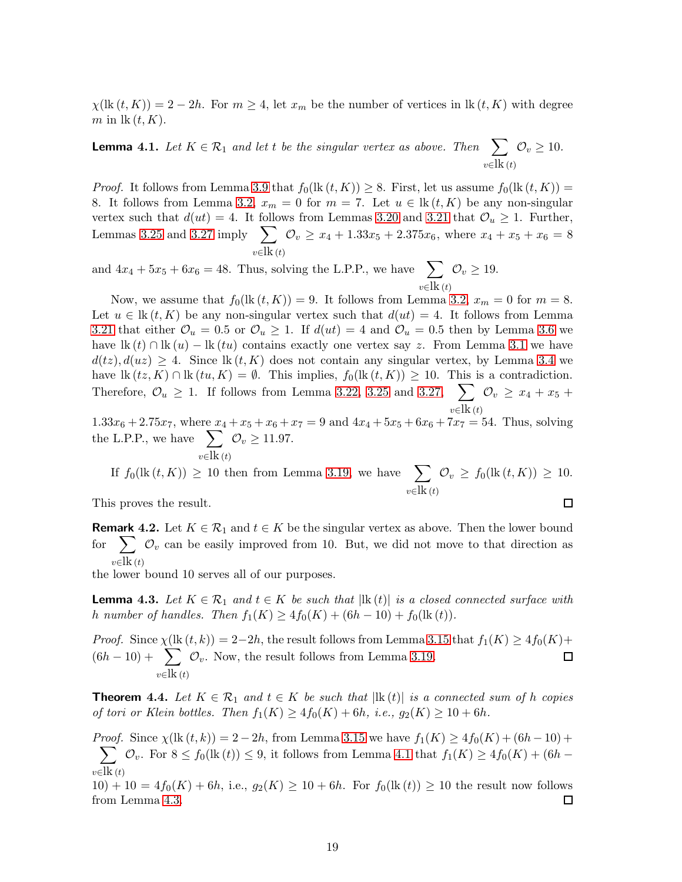$\chi(\text{lk }(t,K)) = 2-2h$ . For  $m \geq 4$ , let  $x_m$  be the number of vertices in  $\text{lk}(t,K)$  with degree m in  $\operatorname{lk}(t, K)$ .

<span id="page-18-0"></span>**Lemma 4.1.** Let  $K \in \mathcal{R}_1$  and let t be the singular vertex as above. Then  $\sum$  $v \in \mathbf{lk}(t)$  $\mathcal{O}_v \geq 10$ .

*Proof.* It follows from Lemma [3.9](#page-8-0) that  $f_0(\text{lk}(t, K)) \geq 8$ . First, let us assume  $f_0(\text{lk}(t, K)) =$ 8. It follows from Lemma [3.2,](#page-7-0)  $x_m = 0$  for  $m = 7$ . Let  $u \in \text{lk}(t, K)$  be any non-singular vertex such that  $d(ut) = 4$ . It follows from Lemmas [3.20](#page-14-0) and [3.21](#page-15-0) that  $\mathcal{O}_u \geq 1$ . Further, Lemmas [3.25](#page-16-1) and [3.27](#page-17-0) imply  $\sum$  $v \in \mathbf{lk}(t)$  $\mathcal{O}_v \ge x_4 + 1.33x_5 + 2.375x_6$ , where  $x_4 + x_5 + x_6 = 8$ 

and  $4x_4 + 5x_5 + 6x_6 = 48$ . Thus, solving the L.P.P., we have  $\sum$  $v \in \mathbf{lk}(t)$  $\mathcal{O}_v \geq 19.$ 

Now, we assume that  $f_0(\text{lk }(t, K)) = 9$ . It follows from Lemma [3.2,](#page-7-0)  $x_m = 0$  for  $m = 8$ . Let  $u \in \text{lk}(t, K)$  be any non-singular vertex such that  $d(u t) = 4$ . It follows from Lemma [3.21](#page-15-0) that either  $\mathcal{O}_u = 0.5$  or  $\mathcal{O}_u \ge 1$ . If  $d(ut) = 4$  and  $\mathcal{O}_u = 0.5$  then by Lemma [3.6](#page-8-2) we have  $\text{lk}(t) \cap \text{lk}(u) - \text{lk}(tu)$  contains exactly one vertex say z. From Lemma [3.1](#page-6-0) we have  $d(tz)$ ,  $d(uz) \geq 4$ . Since lk  $(t, K)$  does not contain any singular vertex, by Lemma [3.4](#page-7-2) we have  $\text{lk}(t\tilde{z}, K) \cap \text{lk}(t\tilde{u}, K) = \emptyset$ . This implies,  $f_0(\text{lk}(t, K)) \geq 10$ . This is a contradiction. Therefore,  $\mathcal{O}_u \geq 1$ . If follows from Lemma [3.22,](#page-15-1) [3.25](#page-16-1) and [3.27,](#page-17-0)  $\sum$  $v∈$ lk (t)  $\mathcal{O}_v \geq x_4 + x_5 +$ 

 $1.33x_6 + 2.75x_7$ , where  $x_4 + x_5 + x_6 + x_7 = 9$  and  $4x_4 + 5x_5 + 6x_6 + 7x_7 = 54$ . Thus, solving the L.P.P., we have  $\sum$  $v∈$ lk (t)  $\mathcal{O}_v \ge 11.97.$ 

If 
$$
f_0(\text{lk}(t, K)) \ge 10
$$
 then from Lemma 3.19, we have 
$$
\sum_{v \in \text{lk}(t)} \mathcal{O}_v \ge f_0(\text{lk}(t, K)) \ge 10.
$$

This proves the result.

**Remark 4.2.** Let  $K \in \mathcal{R}_1$  and  $t \in K$  be the singular vertex as above. Then the lower bound for  $\sum_{v}$   $\mathcal{O}_v$  can be easily improved from 10. But, we did not move to that direction as  $v \in \mathbf{R}(t)$ 

the lower bound 10 serves all of our purposes.

<span id="page-18-1"></span>**Lemma 4.3.** Let  $K \in \mathcal{R}_1$  and  $t \in K$  be such that  $|\mathbf{lk}(t)|$  is a closed connected surface with h number of handles. Then  $f_1(K) \ge 4f_0(K) + (6h - 10) + f_0(\text{lk}(t)).$ 

*Proof.* Since  $\chi$ (lk  $(t, k)$ ) = 2-2h, the result follows from Lemma [3.15](#page-11-1) that  $f_1(K) \geq 4f_0(K)$ +  $(6h - 10) + \sum$  $v \in \mathbf{lk}(t)$  $\mathcal{O}_v$ . Now, the result follows from Lemma [3.19.](#page-13-1)

<span id="page-18-2"></span>**Theorem 4.4.** Let  $K \in \mathcal{R}_1$  and  $t \in K$  be such that  $|\text{lk}(t)|$  is a connected sum of h copies of tori or Klein bottles. Then  $f_1(K) \geq 4f_0(K) + 6h$ , i.e.,  $g_2(K) \geq 10 + 6h$ .

Proof.  $\sum$ Since  $\chi$ (lk  $(t, k)$ ) = 2 – 2h, from Lemma [3.15](#page-11-1) we have  $f_1(K) \ge 4f_0(K) + (6h - 10) +$  $v \in \mathbf{lk}$  (t)  $\mathcal{O}_v$ . For  $8 \le f_0(\text{lk}(t)) \le 9$ , it follows from Lemma [4.1](#page-18-0) that  $f_1(K) \ge 4f_0(K) + (6h -$ 

 $10) + 10 = 4f_0(K) + 6h$ , i.e.,  $g_2(K) \ge 10 + 6h$ . For  $f_0(\text{lk}(t)) \ge 10$  the result now follows from Lemma [4.3.](#page-18-1)  $\Box$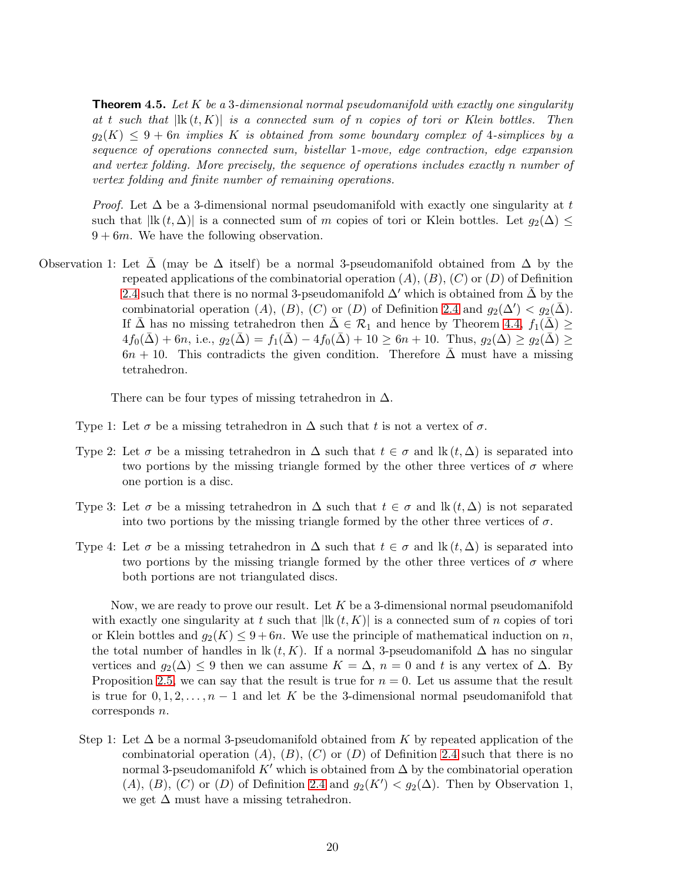<span id="page-19-0"></span>**Theorem 4.5.** Let K be a 3-dimensional normal pseudomanifold with exactly one singularity at t such that  $|\mathbf{R}(t, K)|$  is a connected sum of n copies of tori or Klein bottles. Then  $g_2(K) \leq 9 + 6n$  implies K is obtained from some boundary complex of 4-simplices by a sequence of operations connected sum, bistellar 1-move, edge contraction, edge expansion and vertex folding. More precisely, the sequence of operations includes exactly n number of vertex folding and finite number of remaining operations.

*Proof.* Let  $\Delta$  be a 3-dimensional normal pseudomanifold with exactly one singularity at t such that  $|lk(t, \Delta)|$  is a connected sum of m copies of tori or Klein bottles. Let  $g_2(\Delta) \leq$  $9 + 6m$ . We have the following observation.

Observation 1: Let  $\Delta$  (may be  $\Delta$  itself) be a normal 3-pseudomanifold obtained from  $\Delta$  by the repeated applications of the combinatorial operation  $(A)$ ,  $(B)$ ,  $(C)$  or  $(D)$  of Definition [2.4](#page-3-0) such that there is no normal 3-pseudomanifold  $\Delta'$  which is obtained from  $\Delta$  by the combinatorial operation  $(A)$ ,  $(B)$ ,  $(C)$  or  $(D)$  of Definition [2.4](#page-3-0) and  $g_2(\Delta') < g_2(\bar{\Delta})$ . If  $\bar{\Delta}$  has no missing tetrahedron then  $\bar{\Delta} \in \mathcal{R}_1$  and hence by Theorem [4.4,](#page-18-2)  $f_1(\bar{\Delta}) \ge$  $4f_0(\bar{\Delta}) + 6n$ , i.e.,  $g_2(\bar{\Delta}) = f_1(\bar{\Delta}) - 4f_0(\bar{\Delta}) + 10 \ge 6n + 10$ . Thus,  $g_2(\Delta) \ge g_2(\bar{\Delta}) \ge$  $6n + 10$ . This contradicts the given condition. Therefore  $\overline{\Delta}$  must have a missing tetrahedron.

There can be four types of missing tetrahedron in  $\Delta$ .

- Type 1: Let  $\sigma$  be a missing tetrahedron in  $\Delta$  such that t is not a vertex of  $\sigma$ .
- Type 2: Let  $\sigma$  be a missing tetrahedron in  $\Delta$  such that  $t \in \sigma$  and  $\text{lk}(t, \Delta)$  is separated into two portions by the missing triangle formed by the other three vertices of  $\sigma$  where one portion is a disc.
- Type 3: Let  $\sigma$  be a missing tetrahedron in  $\Delta$  such that  $t \in \sigma$  and  $\text{lk}(t, \Delta)$  is not separated into two portions by the missing triangle formed by the other three vertices of  $\sigma$ .
- Type 4: Let  $\sigma$  be a missing tetrahedron in  $\Delta$  such that  $t \in \sigma$  and  $\mathbb{R}(t, \Delta)$  is separated into two portions by the missing triangle formed by the other three vertices of  $\sigma$  where both portions are not triangulated discs.

Now, we are ready to prove our result. Let  $K$  be a 3-dimensional normal pseudomanifold with exactly one singularity at t such that  $|\mathbf{R}(t, K)|$  is a connected sum of n copies of tori or Klein bottles and  $g_2(K) \leq 9 + 6n$ . We use the principle of mathematical induction on n, the total number of handles in lk  $(t, K)$ . If a normal 3-pseudomanifold  $\Delta$  has no singular vertices and  $g_2(\Delta) \leq 9$  then we can assume  $K = \Delta$ ,  $n = 0$  and t is any vertex of  $\Delta$ . By Proposition [2.5,](#page-4-2) we can say that the result is true for  $n = 0$ . Let us assume that the result is true for  $0, 1, 2, \ldots, n-1$  and let K be the 3-dimensional normal pseudomanifold that corresponds n.

Step 1: Let  $\Delta$  be a normal 3-pseudomanifold obtained from K by repeated application of the combinatorial operation  $(A)$ ,  $(B)$ ,  $(C)$  or  $(D)$  of Definition [2.4](#page-3-0) such that there is no normal 3-pseudomanifold K' which is obtained from  $\Delta$  by the combinatorial operation (A), (B), (C) or (D) of Definition [2.4](#page-3-0) and  $g_2(K') < g_2(\Delta)$ . Then by Observation 1, we get  $\Delta$  must have a missing tetrahedron.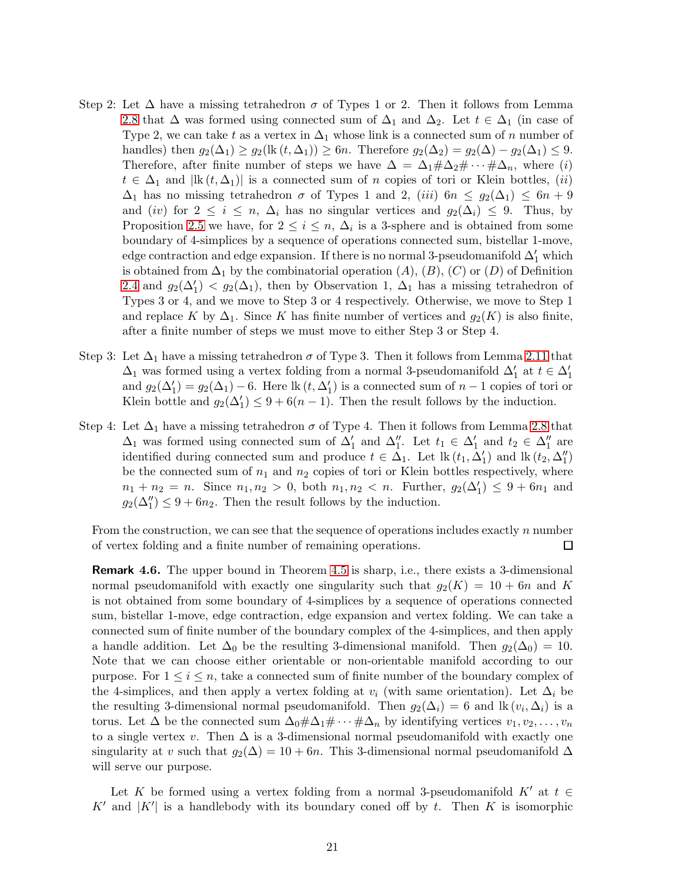- Step 2: Let  $\Delta$  have a missing tetrahedron  $\sigma$  of Types 1 or 2. Then it follows from Lemma [2.8](#page-5-0) that  $\Delta$  was formed using connected sum of  $\Delta_1$  and  $\Delta_2$ . Let  $t \in \Delta_1$  (in case of Type 2, we can take t as a vertex in  $\Delta_1$  whose link is a connected sum of n number of handles) then  $g_2(\Delta_1) \ge g_2(\text{lk } (t, \Delta_1)) \ge 6n$ . Therefore  $g_2(\Delta_2) = g_2(\Delta) - g_2(\Delta_1) \le 9$ . Therefore, after finite number of steps we have  $\Delta = \Delta_1 \# \Delta_2 \# \cdots \# \Delta_n$ , where (i)  $t \in \Delta_1$  and  $|\mathbf{lk}(t, \Delta_1)|$  is a connected sum of n copies of tori or Klein bottles,  $(ii)$  $\Delta_1$  has no missing tetrahedron  $\sigma$  of Types 1 and 2, (iii)  $6n \leq g_2(\Delta_1) \leq 6n + 9$ and (iv) for  $2 \leq i \leq n$ ,  $\Delta_i$  has no singular vertices and  $g_2(\Delta_i) \leq 9$ . Thus, by Proposition [2.5](#page-4-2) we have, for  $2 \leq i \leq n$ ,  $\Delta_i$  is a 3-sphere and is obtained from some boundary of 4-simplices by a sequence of operations connected sum, bistellar 1-move, edge contraction and edge expansion. If there is no normal 3-pseudomanifold  $\Delta'_1$  which is obtained from  $\Delta_1$  by the combinatorial operation  $(A), (B), (C)$  or  $(D)$  of Definition [2.4](#page-3-0) and  $g_2(\Delta'_1) < g_2(\Delta_1)$ , then by Observation 1,  $\Delta_1$  has a missing tetrahedron of Types 3 or 4, and we move to Step 3 or 4 respectively. Otherwise, we move to Step 1 and replace K by  $\Delta_1$ . Since K has finite number of vertices and  $g_2(K)$  is also finite, after a finite number of steps we must move to either Step 3 or Step 4.
- Step 3: Let  $\Delta_1$  have a missing tetrahedron  $\sigma$  of Type 3. Then it follows from Lemma [2.11](#page-6-1) that  $\Delta_1$  was formed using a vertex folding from a normal 3-pseudomanifold  $\Delta_1'$  at  $t\in\Delta_1'$ and  $g_2(\Delta'_1) = g_2(\Delta_1) - 6$ . Here  $\text{lk}(t, \Delta'_1)$  is a connected sum of  $n-1$  copies of tori or Klein bottle and  $g_2(\Delta'_1) \leq 9 + 6(n-1)$ . Then the result follows by the induction.
- Step 4: Let  $\Delta_1$  have a missing tetrahedron  $\sigma$  of Type 4. Then it follows from Lemma [2.8](#page-5-0) that  $\Delta_1$  was formed using connected sum of  $\Delta'_1$  and  $\Delta''_1$ . Let  $t_1 \in \Delta'_1$  and  $t_2 \in \Delta''_1$  are identified during connected sum and produce  $t \in \Delta_1$ . Let  $\mathbf{lk}(t_1, \Delta'_1)$  and  $\mathbf{lk}(t_2, \Delta''_1)$ be the connected sum of  $n_1$  and  $n_2$  copies of tori or Klein bottles respectively, where  $n_1 + n_2 = n$ . Since  $n_1, n_2 > 0$ , both  $n_1, n_2 < n$ . Further,  $g_2(\Delta'_1) \leq 9 + 6n_1$  and  $g_2(\Delta_1'') \leq 9 + 6n_2$ . Then the result follows by the induction.

From the construction, we can see that the sequence of operations includes exactly n number of vertex folding and a finite number of remaining operations.  $\Box$ 

<span id="page-20-0"></span>Remark 4.6. The upper bound in Theorem [4.5](#page-19-0) is sharp, i.e., there exists a 3-dimensional normal pseudomanifold with exactly one singularity such that  $g_2(K) = 10 + 6n$  and K is not obtained from some boundary of 4-simplices by a sequence of operations connected sum, bistellar 1-move, edge contraction, edge expansion and vertex folding. We can take a connected sum of finite number of the boundary complex of the 4-simplices, and then apply a handle addition. Let  $\Delta_0$  be the resulting 3-dimensional manifold. Then  $g_2(\Delta_0) = 10$ . Note that we can choose either orientable or non-orientable manifold according to our purpose. For  $1 \leq i \leq n$ , take a connected sum of finite number of the boundary complex of the 4-simplices, and then apply a vertex folding at  $v_i$  (with same orientation). Let  $\Delta_i$  be the resulting 3-dimensional normal pseudomanifold. Then  $g_2(\Delta_i) = 6$  and  $\text{lk}(v_i, \Delta_i)$  is a torus. Let  $\Delta$  be the connected sum  $\Delta_0 \# \Delta_1 \# \cdots \# \Delta_n$  by identifying vertices  $v_1, v_2, \ldots, v_n$ to a single vertex v. Then  $\Delta$  is a 3-dimensional normal pseudomanifold with exactly one singularity at v such that  $g_2(\Delta) = 10 + 6n$ . This 3-dimensional normal pseudomanifold  $\Delta$ will serve our purpose.

Let K be formed using a vertex folding from a normal 3-pseudomanifold  $K'$  at  $t \in$ K' and  $|K'|$  is a handlebody with its boundary coned off by t. Then K is isomorphic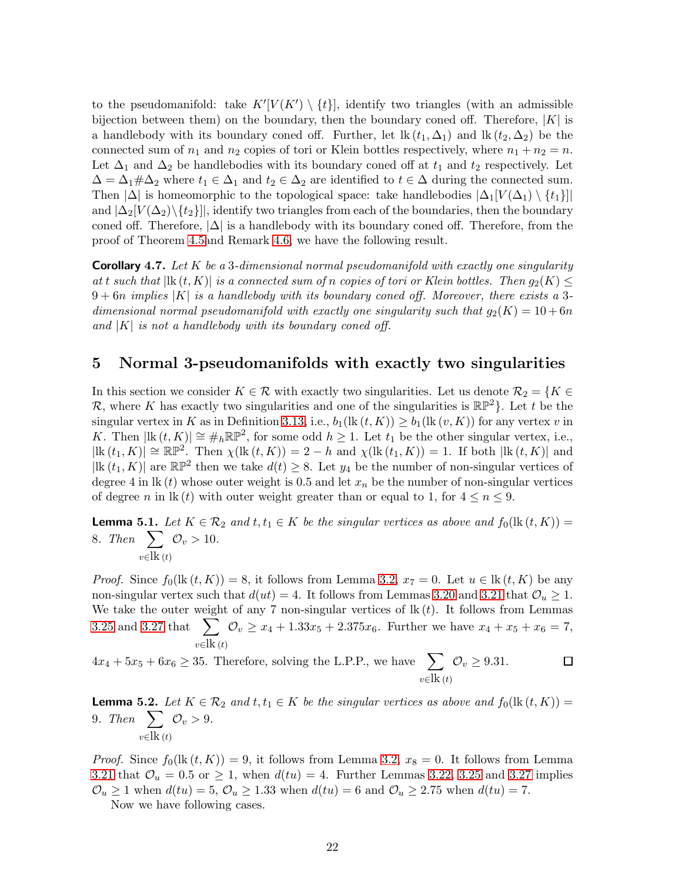to the pseudomanifold: take  $K'[V(K') \setminus \{t\}]$ , identify two triangles (with an admissible bijection between them) on the boundary, then the boundary coned off. Therefore,  $|K|$  is a handlebody with its boundary coned off. Further, let lk  $(t_1, \Delta_1)$  and lk  $(t_2, \Delta_2)$  be the connected sum of  $n_1$  and  $n_2$  copies of tori or Klein bottles respectively, where  $n_1 + n_2 = n$ . Let  $\Delta_1$  and  $\Delta_2$  be handlebodies with its boundary coned off at  $t_1$  and  $t_2$  respectively. Let  $\Delta = \Delta_1 \# \Delta_2$  where  $t_1 \in \Delta_1$  and  $t_2 \in \Delta_2$  are identified to  $t \in \Delta$  during the connected sum. Then  $|\Delta|$  is homeomorphic to the topological space: take handlebodies  $|\Delta_1[V(\Delta_1) \setminus \{t_1\}]|$ and  $|\Delta_2[V(\Delta_2)\setminus\{t_2\}]|$ , identify two triangles from each of the boundaries, then the boundary coned off. Therefore,  $|\Delta|$  is a handlebody with its boundary coned off. Therefore, from the proof of Theorem [4.5a](#page-19-0)nd Remark [4.6,](#page-20-0) we have the following result.

**Corollary 4.7.** Let K be a 3-dimensional normal pseudomanifold with exactly one singularity at t such that  $|\text{lk}(t, K)|$  is a connected sum of n copies of tori or Klein bottles. Then  $g_2(K) \leq$  $9+6n$  implies |K| is a handlebody with its boundary coned off. Moreover, there exists a 3dimensional normal pseudomanifold with exactly one singularity such that  $g_2(K) = 10 + 6n$ and  $|K|$  is not a handlebody with its boundary coned off.

## 5 Normal 3-pseudomanifolds with exactly two singularities

In this section we consider  $K \in \mathcal{R}$  with exactly two singularities. Let us denote  $\mathcal{R}_2 = \{K \in \mathcal{R} \mid K \in \mathcal{R}\}$ R, where K has exactly two singularities and one of the singularities is  $\mathbb{RP}^2$ . Let t be the singular vertex in K as in Definition [3.13,](#page-10-1) i.e.,  $b_1(\text{lk}(t, K)) \geq b_1(\text{lk}(v, K))$  for any vertex v in K. Then  $|\text{lk}(t,K)| \cong \#_h \mathbb{RP}^2$ , for some odd  $h \geq 1$ . Let  $t_1$  be the other singular vertex, i.e.,  $|\text{lk}(t_1,K)| \cong \mathbb{RP}^2$ . Then  $\chi(\text{lk}(t,K)) = 2-h$  and  $\chi(\text{lk}(t_1,K)) = 1$ . If both  $|\text{lk}(t,K)|$  and  $|\text{lk}(t_1, K)|$  are  $\mathbb{RP}^2$  then we take  $d(t) \geq 8$ . Let  $y_4$  be the number of non-singular vertices of degree 4 in  $\mathbb{R}(t)$  whose outer weight is 0.5 and let  $x_n$  be the number of non-singular vertices of degree n in lk (t) with outer weight greater than or equal to 1, for  $4 \leq n \leq 9$ .

<span id="page-21-0"></span>**Lemma 5.1.** Let  $K \in \mathcal{R}_2$  and  $t, t_1 \in K$  be the singular vertices as above and  $f_0(\text{lk}(t, K)) =$ 8. Then  $\sum$  $v \in \mathbf{lk}(t)$  $\mathcal{O}_v > 10$ .

*Proof.* Since  $f_0(\text{lk } (t, K)) = 8$ , it follows from Lemma [3.2,](#page-7-0)  $x_7 = 0$ . Let  $u \in \text{lk } (t, K)$  be any non-singular vertex such that  $d(ut) = 4$ . It follows from Lemmas [3.20](#page-14-0) and [3.21](#page-15-0) that  $\mathcal{O}_u \geq 1$ . We take the outer weight of any 7 non-singular vertices of  $\mathbf{k}(t)$ . It follows from Lemmas [3.25](#page-16-1) and [3.27](#page-17-0) that  $\sum$  $v \in \mathbf{k}(t)$  $\mathcal{O}_v \ge x_4 + 1.33x_5 + 2.375x_6$ . Further we have  $x_4 + x_5 + x_6 = 7$ ,

 $4x_4 + 5x_5 + 6x_6 \geq 35$ . Therefore, solving the L.P.P., we have  $\sum$  $\mathcal{O}_v \geq 9.31.$  $\Box$  $v∈$ lk (t)

<span id="page-21-1"></span>**Lemma 5.2.** Let  $K \in \mathcal{R}_2$  and  $t, t_1 \in K$  be the singular vertices as above and  $f_0(\text{lk}(t, K)) =$ 9. Then  $\sum$  $v \in \mathbf{lk}(t)$  $\mathcal{O}_v > 9$ .

*Proof.* Since  $f_0(\mathbf{lk}(t, K)) = 9$ , it follows from Lemma [3.2,](#page-7-0)  $x_8 = 0$ . It follows from Lemma [3.21](#page-15-0) that  $\mathcal{O}_u = 0.5$  or  $\geq 1$ , when  $d(tu) = 4$ . Further Lemmas [3.22,](#page-15-1) [3.25](#page-16-1) and [3.27](#page-17-0) implies  $\mathcal{O}_u \ge 1$  when  $d(tu) = 5$ ,  $\mathcal{O}_u \ge 1.33$  when  $d(tu) = 6$  and  $\mathcal{O}_u \ge 2.75$  when  $d(tu) = 7$ .

Now we have following cases.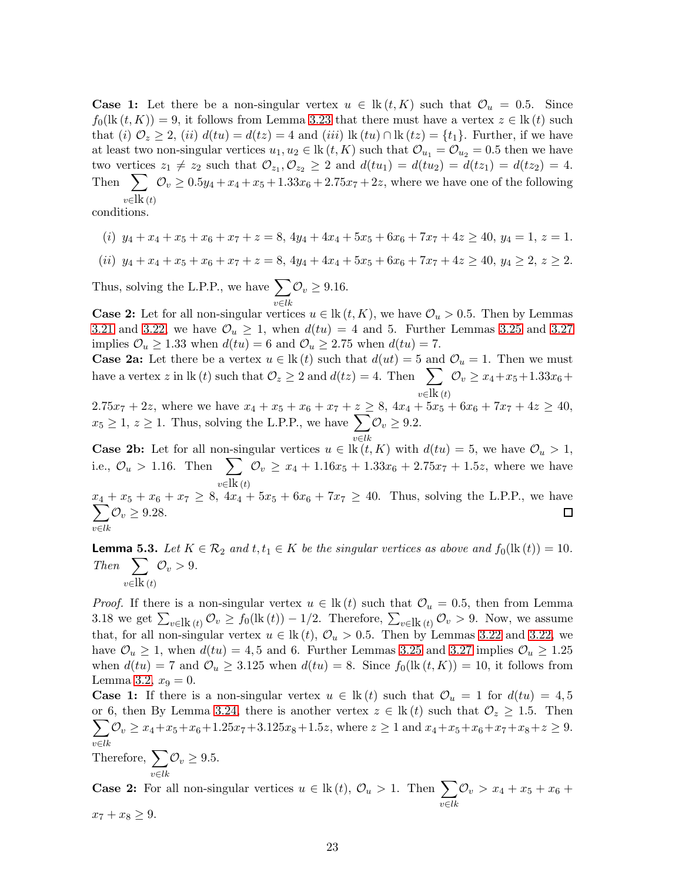**Case 1:** Let there be a non-singular vertex  $u \in \text{lk}(t, K)$  such that  $\mathcal{O}_u = 0.5$ . Since  $f_0(\text{lk }(t, K)) = 9$ , it follows from Lemma [3.23](#page-15-2) that there must have a vertex  $z \in \text{lk}(t)$  such that (i)  $\mathcal{O}_z \geq 2$ , (ii)  $d(tu) = d(tz) = 4$  and (iii) lk  $(tu) \cap$ lk  $(tz) = \{t_1\}$ . Further, if we have at least two non-singular vertices  $u_1, u_2 \in \text{lk}(t, K)$  such that  $\mathcal{O}_{u_1} = \mathcal{O}_{u_2} = 0.5$  then we have two vertices  $z_1 \neq z_2$  such that  $\mathcal{O}_{z_1}, \mathcal{O}_{z_2} \geq 2$  and  $d(tu_1) = d(tu_2) = d(tz_1) = d(tz_2) = 4$ . Then  $\sum_{v \geq 0}$   $\mathcal{O}_v \geq 0.5y_4 + x_4 + x_5 + 1.33x_6 + 2.75x_7 + 2z$ , where we have one of the following  $v \in \mathbf{lk}(t)$ 

conditions.

$$
(i) y_4 + x_4 + x_5 + x_6 + x_7 + z = 8, 4y_4 + 4x_4 + 5x_5 + 6x_6 + 7x_7 + 4z \ge 40, y_4 = 1, z = 1.
$$

$$
(ii) \ y_4 + x_4 + x_5 + x_6 + x_7 + z = 8, \ 4y_4 + 4x_4 + 5x_5 + 6x_6 + 7x_7 + 4z \ge 40, \ y_4 \ge 2, \ z \ge 2.
$$

Thus, solving the L.P.P., we have  $\sum$ v∈lk  $\mathcal{O}_v \geq 9.16$ .

**Case 2:** Let for all non-singular vertices  $u \in \text{lk}(t, K)$ , we have  $\mathcal{O}_u > 0.5$ . Then by Lemmas [3.21](#page-15-0) and [3.22,](#page-15-1) we have  $\mathcal{O}_u \geq 1$ , when  $d(tu) = 4$  and 5. Further Lemmas [3.25](#page-16-1) and [3.27](#page-17-0) implies  $\mathcal{O}_u \geq 1.33$  when  $d(tu) = 6$  and  $\mathcal{O}_u \geq 2.75$  when  $d(tu) = 7$ .

**Case 2a:** Let there be a vertex  $u \in \text{lk}(t)$  such that  $d(ut) = 5$  and  $\mathcal{O}_u = 1$ . Then we must have a vertex z in lk (t) such that  $\mathcal{O}_z \geq 2$  and  $d(tz) = 4$ . Then  $\sum$  $v∈\text{lk}\ (t)$  $\mathcal{O}_v \ge x_4 + x_5 + 1.33x_6 +$ 

 $2.75x_7 + 2z$ , where we have  $x_4 + x_5 + x_6 + x_7 + z \ge 8$ ,  $4x_4 + 5x_5 + 6x_6 + 7x_7 + 4z \ge 40$ ,  $x_5 \geq 1, z \geq 1$ . Thus, solving the L.P.P., we have  $\sum$ v∈lk  $\mathcal{O}_v \geq 9.2.$ 

**Case 2b:** Let for all non-singular vertices  $u \in \text{lk}(t, K)$  with  $d(tu) = 5$ , we have  $\mathcal{O}_u > 1$ , i.e.,  $\mathcal{O}_u > 1.16$ . Then  $\sum$  $v∈\text{lk}\ (t)$  $\mathcal{O}_v \geq x_4 + 1.16x_5 + 1.33x_6 + 2.75x_7 + 1.5z$ , where we have

 $\boldsymbol{x}$  $\sum$  $4 + x_5 + x_6 + x_7 \ge 8$ ,  $4x_4 + 5x_5 + 6x_6 + 7x_7 \ge 40$ . Thus, solving the L.P.P., we have v∈lk  $\mathcal{O}_v \geq 9.28.$ 

<span id="page-22-0"></span>**Lemma 5.3.** Let  $K \in \mathcal{R}_2$  and  $t, t_1 \in K$  be the singular vertices as above and  $f_0(\text{lk}(t)) = 10$ . Then  $\sum$  $v∈$ lk (t)  $\mathcal{O}_v > 9$ .

*Proof.* If there is a non-singular vertex  $u \in \mathbb{k}(t)$  such that  $\mathcal{O}_u = 0.5$ , then from Lemma 3.18 we get  $\sum_{v\in \mathbf{k}} (\iota_v \mathcal{O}_v \ge f_0(\mathbf{k}(t)) - 1/2$ . Therefore,  $\sum_{v\in \mathbf{k}} (\iota_v \mathcal{O}_v > 9$ . Now, we assume that, for all non-singular vertex  $u \in \mathbb{k}(t)$ ,  $\mathcal{O}_u > 0.5$ . Then by Lemmas [3.22](#page-15-1) and [3.22,](#page-15-1) we have  $\mathcal{O}_u \geq 1$ , when  $d(tu) = 4, 5$  and 6. Further Lemmas [3.25](#page-16-1) and [3.27](#page-17-0) implies  $\mathcal{O}_u \geq 1.25$ when  $d(tu) = 7$  and  $\mathcal{O}_u \geq 3.125$  when  $d(tu) = 8$ . Since  $f_0(\text{lk}(t, K)) = 10$ , it follows from Lemma [3.2,](#page-7-0)  $x_9 = 0$ .

**Case 1:** If there is a non-singular vertex  $u \in \text{lk}(t)$  such that  $\mathcal{O}_u = 1$  for  $d(tu) = 4, 5$ or 6, then By Lemma [3.24,](#page-15-3) there is another vertex  $\sum$  $z \in \text{lk}(t)$  such that  $\mathcal{O}_z \geq 1.5$ . Then v∈lk  $\mathcal{O}_v \ge x_4 + x_5 + x_6 + 1.25x_7 + 3.125x_8 + 1.5z$ , where  $z \ge 1$  and  $x_4 + x_5 + x_6 + x_7 + x_8 + z \ge 9$ .

Therefore,  $\sum$ v∈lk  $\mathcal{O}_v \geq 9.5.$ 

**Case 2:** For all non-singular vertices  $u \in \text{lk}(t)$ ,  $\mathcal{O}_u > 1$ . Then  $\sum$ v∈lk  $\mathcal{O}_v > x_4 + x_5 + x_6 +$ 

 $x_7 + x_8 \geq 9.$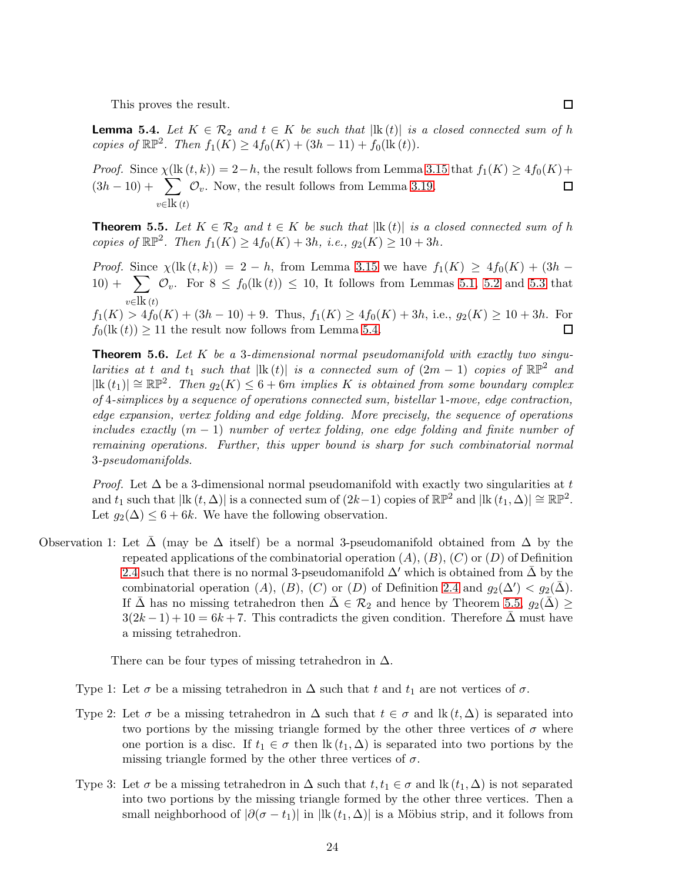This proves the result.

<span id="page-23-0"></span>**Lemma 5.4.** Let  $K \in \mathcal{R}_2$  and  $t \in K$  be such that  $|\mathbf{lk}(t)|$  is a closed connected sum of h copies of  $\mathbb{RP}^2$ . Then  $f_1(K) \geq 4f_0(K) + (3h - 11) + f_0(\text{lk}(t)).$ 

*Proof.* Since  $\chi$ (lk  $(t, k)$ ) = 2−h, the result follows from Lemma [3.15](#page-11-1) that  $f_1(K) \geq 4f_0(K)$ +  $(3h-10)+\sum$  $\mathcal{O}_v$ . Now, the result follows from Lemma [3.19.](#page-13-1)  $\Box$  $v \in \mathbf{lk}(t)$ 

<span id="page-23-1"></span>**Theorem 5.5.** Let  $K \in \mathcal{R}_2$  and  $t \in K$  be such that  $|\text{lk}(t)|$  is a closed connected sum of h copies of  $\mathbb{RP}^2$ . Then  $f_1(K) \ge 4f_0(K) + 3h$ , i.e.,  $g_2(K) \ge 10 + 3h$ .

*Proof.* Since  $\chi$ (lk  $(t, k)$ ) = 2 − h, from Lemma [3.15](#page-11-1) we have  $f_1(K) \geq 4f_0(K) + (3h 10) + \sum_{v} \mathcal{O}_v$ . For  $8 \leq f_0(\text{lk}(t)) \leq 10$ , It follows from Lemmas [5.1,](#page-21-0) [5.2](#page-21-1) and [5.3](#page-22-0) that  $v \in \mathbf{lk}(t)$ 

 $f_1(K) > 4f_0(K) + (3h - 10) + 9$ . Thus,  $f_1(K) \ge 4f_0(K) + 3h$ , i.e.,  $g_2(K) \ge 10 + 3h$ . For  $f_0(\text{lk}(t)) \geq 11$  the result now follows from Lemma [5.4.](#page-23-0)  $\Box$ 

<span id="page-23-2"></span>**Theorem 5.6.** Let  $K$  be a 3-dimensional normal pseudomanifold with exactly two singularities at t and t<sub>1</sub> such that  $|\mathbf{lk}(t)|$  is a connected sum of  $(2m-1)$  copies of  $\mathbb{RP}^2$  and  $|\textup{lk}(t_1)| \cong \mathbb{RP}^2$ . Then  $g_2(K) \leq 6+6m$  implies K is obtained from some boundary complex of 4-simplices by a sequence of operations connected sum, bistellar 1-move, edge contraction, edge expansion, vertex folding and edge folding. More precisely, the sequence of operations includes exactly  $(m - 1)$  number of vertex folding, one edge folding and finite number of remaining operations. Further, this upper bound is sharp for such combinatorial normal 3-pseudomanifolds.

*Proof.* Let  $\Delta$  be a 3-dimensional normal pseudomanifold with exactly two singularities at t and  $t_1$  such that  $|\text{lk}(t,\Delta)|$  is a connected sum of  $(2k-1)$  copies of  $\mathbb{RP}^2$  and  $|\text{lk}(t_1,\Delta)| \cong \mathbb{RP}^2$ . Let  $g_2(\Delta) \leq 6 + 6k$ . We have the following observation.

Observation 1: Let  $\Delta$  (may be  $\Delta$  itself) be a normal 3-pseudomanifold obtained from  $\Delta$  by the repeated applications of the combinatorial operation  $(A), (B), (C)$  or  $(D)$  of Definition [2.4](#page-3-0) such that there is no normal 3-pseudomanifold  $\Delta'$  which is obtained from  $\Delta$  by the combinatorial operation  $(A)$ ,  $(B)$ ,  $(C)$  or  $(D)$  of Definition [2.4](#page-3-0) and  $g_2(\Delta') < g_2(\bar{\Delta})$ . If  $\Delta$  has no missing tetrahedron then  $\Delta \in \mathcal{R}_2$  and hence by Theorem [5.5,](#page-23-1)  $g_2(\Delta) \geq$  $3(2k-1) + 10 = 6k + 7$ . This contradicts the given condition. Therefore  $\Delta$  must have a missing tetrahedron.

There can be four types of missing tetrahedron in  $\Delta$ .

- Type 1: Let  $\sigma$  be a missing tetrahedron in  $\Delta$  such that t and  $t_1$  are not vertices of  $\sigma$ .
- Type 2: Let  $\sigma$  be a missing tetrahedron in  $\Delta$  such that  $t \in \sigma$  and  $\text{lk}(t, \Delta)$  is separated into two portions by the missing triangle formed by the other three vertices of  $\sigma$  where one portion is a disc. If  $t_1 \in \sigma$  then  $\text{lk}(t_1, \Delta)$  is separated into two portions by the missing triangle formed by the other three vertices of  $\sigma$ .
- Type 3: Let  $\sigma$  be a missing tetrahedron in  $\Delta$  such that  $t, t_1 \in \sigma$  and  $\mathbf{lk}(t_1, \Delta)$  is not separated into two portions by the missing triangle formed by the other three vertices. Then a small neighborhood of  $|\partial(\sigma - t_1)|$  in  $|\mathbf{R}(t_1, \Delta)|$  is a Möbius strip, and it follows from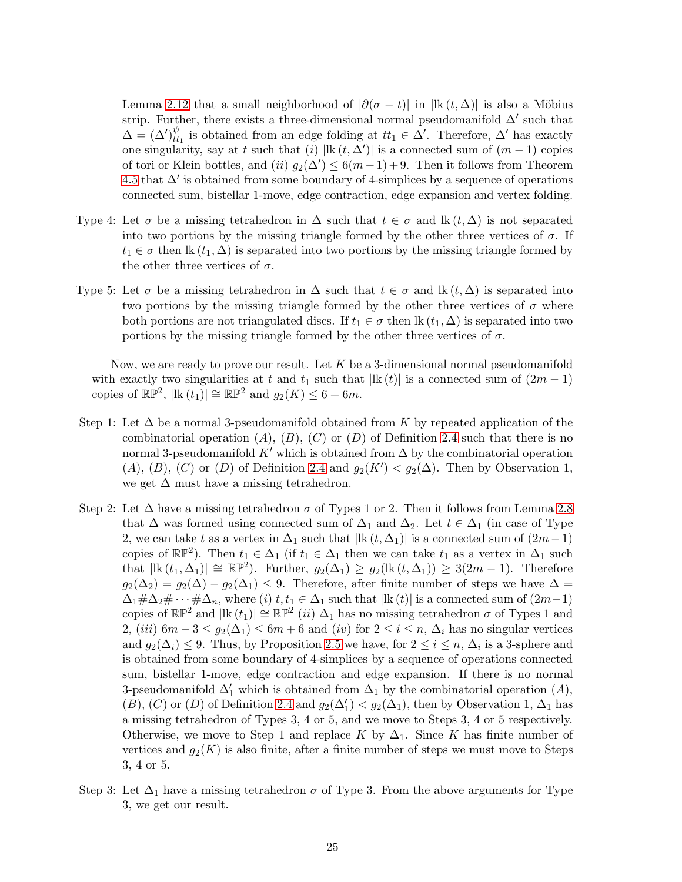Lemma [2.12](#page-6-2) that a small neighborhood of  $|\partial(\sigma - t)|$  in  $|{\rm lk}(t, \Delta)|$  is also a Möbius strip. Further, there exists a three-dimensional normal pseudomanifold  $\Delta'$  such that  $\Delta = (\Delta')_{tt}^{\psi}$  $\mathcal{L}_{t_1}^{\psi}$  is obtained from an edge folding at  $tt_1 \in \Delta'$ . Therefore,  $\Delta'$  has exactly one singularity, say at t such that (i)  $|\text{lk}(t, \Delta')|$  is a connected sum of  $(m-1)$  copies of tori or Klein bottles, and  $(ii)$   $g_2(\Delta') \leq 6(m-1)+9$ . Then it follows from Theorem [4.5](#page-19-0) that  $\Delta'$  is obtained from some boundary of 4-simplices by a sequence of operations connected sum, bistellar 1-move, edge contraction, edge expansion and vertex folding.

- Type 4: Let  $\sigma$  be a missing tetrahedron in  $\Delta$  such that  $t \in \sigma$  and  $\text{lk}(t, \Delta)$  is not separated into two portions by the missing triangle formed by the other three vertices of  $\sigma$ . If  $t_1 \in \sigma$  then lk  $(t_1, \Delta)$  is separated into two portions by the missing triangle formed by the other three vertices of  $\sigma.$
- Type 5: Let  $\sigma$  be a missing tetrahedron in  $\Delta$  such that  $t \in \sigma$  and  $\text{lk}(t, \Delta)$  is separated into two portions by the missing triangle formed by the other three vertices of  $\sigma$  where both portions are not triangulated discs. If  $t_1 \in \sigma$  then  $\text{lk}(t_1, \Delta)$  is separated into two portions by the missing triangle formed by the other three vertices of  $\sigma$ .

Now, we are ready to prove our result. Let  $K$  be a 3-dimensional normal pseudomanifold with exactly two singularities at t and  $t_1$  such that  $|\text{lk}(t)|$  is a connected sum of  $(2m-1)$ copies of  $\mathbb{RP}^2$ ,  $|\text{lk}(t_1)| \cong \mathbb{RP}^2$  and  $g_2(K) \leq 6 + 6m$ .

- Step 1: Let  $\Delta$  be a normal 3-pseudomanifold obtained from K by repeated application of the combinatorial operation  $(A)$ ,  $(B)$ ,  $(C)$  or  $(D)$  of Definition [2.4](#page-3-0) such that there is no normal 3-pseudomanifold K' which is obtained from  $\Delta$  by the combinatorial operation (A), (B), (C) or (D) of Definition [2.4](#page-3-0) and  $g_2(K') < g_2(\Delta)$ . Then by Observation 1, we get  $\Delta$  must have a missing tetrahedron.
- Step 2: Let  $\Delta$  have a missing tetrahedron  $\sigma$  of Types 1 or 2. Then it follows from Lemma [2.8](#page-5-0) that  $\Delta$  was formed using connected sum of  $\Delta_1$  and  $\Delta_2$ . Let  $t \in \Delta_1$  (in case of Type 2, we can take t as a vertex in  $\Delta_1$  such that  $|\text{lk}(t,\Delta_1)|$  is a connected sum of  $(2m-1)$ copies of  $\mathbb{RP}^2$ ). Then  $t_1 \in \Delta_1$  (if  $t_1 \in \Delta_1$  then we can take  $t_1$  as a vertex in  $\Delta_1$  such that  $|\text{lk}(t_1, \Delta_1)| \cong \mathbb{RP}^2$ . Further,  $g_2(\Delta_1) \geq g_2(\text{lk}(t, \Delta_1)) \geq 3(2m-1)$ . Therefore  $g_2(\Delta_2) = g_2(\Delta) - g_2(\Delta_1) \leq 9$ . Therefore, after finite number of steps we have  $\Delta =$  $\Delta_1 \# \Delta_2 \# \cdots \# \Delta_n$ , where (i)  $t, t_1 \in \Delta_1$  such that  $|\mathbf{lk}(t)|$  is a connected sum of  $(2m-1)$ copies of  $\mathbb{RP}^2$  and  $|\mathbf{lk}(t_1)| \cong \mathbb{RP}^2$  (ii)  $\Delta_1$  has no missing tetrahedron  $\sigma$  of Types 1 and 2, (iii)  $6m-3 \le g_2(\Delta_1) \le 6m+6$  and (iv) for  $2 \le i \le n$ ,  $\Delta_i$  has no singular vertices and  $g_2(\Delta_i) \leq 9$ . Thus, by Proposition [2.5](#page-4-2) we have, for  $2 \leq i \leq n$ ,  $\Delta_i$  is a 3-sphere and is obtained from some boundary of 4-simplices by a sequence of operations connected sum, bistellar 1-move, edge contraction and edge expansion. If there is no normal 3-pseudomanifold  $\Delta'_1$  which is obtained from  $\Delta_1$  by the combinatorial operation  $(A)$ , (B), (C) or (D) of Definition [2.4](#page-3-0) and  $g_2(\Delta'_1) < g_2(\Delta_1)$ , then by Observation 1,  $\Delta_1$  has a missing tetrahedron of Types 3, 4 or 5, and we move to Steps 3, 4 or 5 respectively. Otherwise, we move to Step 1 and replace K by  $\Delta_1$ . Since K has finite number of vertices and  $g_2(K)$  is also finite, after a finite number of steps we must move to Steps 3, 4 or 5.
- Step 3: Let  $\Delta_1$  have a missing tetrahedron  $\sigma$  of Type 3. From the above arguments for Type 3, we get our result.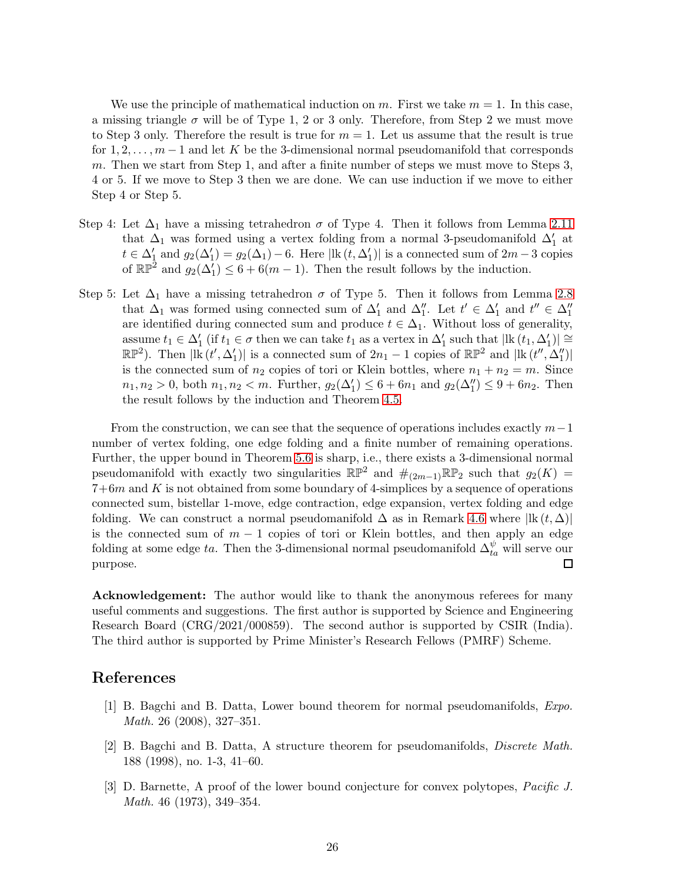We use the principle of mathematical induction on m. First we take  $m = 1$ . In this case, a missing triangle  $\sigma$  will be of Type 1, 2 or 3 only. Therefore, from Step 2 we must move to Step 3 only. Therefore the result is true for  $m = 1$ . Let us assume that the result is true for  $1, 2, \ldots, m-1$  and let K be the 3-dimensional normal pseudomanifold that corresponds m. Then we start from Step 1, and after a finite number of steps we must move to Steps 3, 4 or 5. If we move to Step 3 then we are done. We can use induction if we move to either Step 4 or Step 5.

- Step 4: Let  $\Delta_1$  have a missing tetrahedron  $\sigma$  of Type 4. Then it follows from Lemma [2.11](#page-6-1) that  $\Delta_1$  was formed using a vertex folding from a normal 3-pseudomanifold  $\Delta_1'$  at  $t \in \Delta'_1$  and  $g_2(\Delta'_1) = g_2(\Delta_1) - 6$ . Here  $|\text{lk}(t, \Delta'_1)|$  is a connected sum of  $2m-3$  copies of  $\mathbb{RP}^2$  and  $g_2(\Delta'_1) \leq 6 + 6(m-1)$ . Then the result follows by the induction.
- Step 5: Let  $\Delta_1$  have a missing tetrahedron  $\sigma$  of Type 5. Then it follows from Lemma [2.8](#page-5-0) that  $\Delta_1$  was formed using connected sum of  $\Delta'_1$  and  $\Delta''_1$ . Let  $t' \in \Delta'_1$  and  $t'' \in \Delta''_1$ are identified during connected sum and produce  $t \in \Delta_1$ . Without loss of generality, assume  $t_1 \in \Delta'_1$  (if  $t_1 \in \sigma$  then we can take  $t_1$  as a vertex in  $\Delta'_1$  such that  $|\text{lk } (t_1, \Delta'_1)| \cong$  $\mathbb{RP}^2$ ). Then  $|\mathbf{lk}(t', \Delta_1')|$  is a connected sum of  $2n_1 - 1$  copies of  $\mathbb{RP}^2$  and  $|\mathbf{lk}(t'', \Delta_1'')|$ is the connected sum of  $n_2$  copies of tori or Klein bottles, where  $n_1 + n_2 = m$ . Since  $n_1, n_2 > 0$ , both  $n_1, n_2 < m$ . Further,  $g_2(\Delta_1') \leq 6 + 6n_1$  and  $g_2(\Delta_1'') \leq 9 + 6n_2$ . Then the result follows by the induction and Theorem [4.5.](#page-19-0)

From the construction, we can see that the sequence of operations includes exactly  $m-1$ number of vertex folding, one edge folding and a finite number of remaining operations. Further, the upper bound in Theorem [5.6](#page-23-2) is sharp, i.e., there exists a 3-dimensional normal pseudomanifold with exactly two singularities  $\mathbb{RP}^2$  and  $\#_{(2m-1)}\mathbb{RP}_2$  such that  $g_2(K)$  =  $7+6m$  and K is not obtained from some boundary of 4-simplices by a sequence of operations connected sum, bistellar 1-move, edge contraction, edge expansion, vertex folding and edge folding. We can construct a normal pseudomanifold  $\Delta$  as in Remark [4.6](#page-20-0) where  $|\text{lk}(t,\Delta)|$ is the connected sum of  $m-1$  copies of tori or Klein bottles, and then apply an edge folding at some edge ta. Then the 3-dimensional normal pseudomanifold  $\Delta_{ta}^{\psi}$  will serve our purpose.  $\Box$ 

Acknowledgement: The author would like to thank the anonymous referees for many useful comments and suggestions. The first author is supported by Science and Engineering Research Board (CRG/2021/000859). The second author is supported by CSIR (India). The third author is supported by Prime Minister's Research Fellows (PMRF) Scheme.

#### <span id="page-25-2"></span>References

- [1] B. Bagchi and B. Datta, Lower bound theorem for normal pseudomanifolds, Expo. Math. 26 (2008), 327–351.
- <span id="page-25-1"></span>[2] B. Bagchi and B. Datta, A structure theorem for pseudomanifolds, Discrete Math. 188 (1998), no. 1-3, 41–60.
- <span id="page-25-0"></span>[3] D. Barnette, A proof of the lower bound conjecture for convex polytopes, Pacific J. Math. 46 (1973), 349–354.